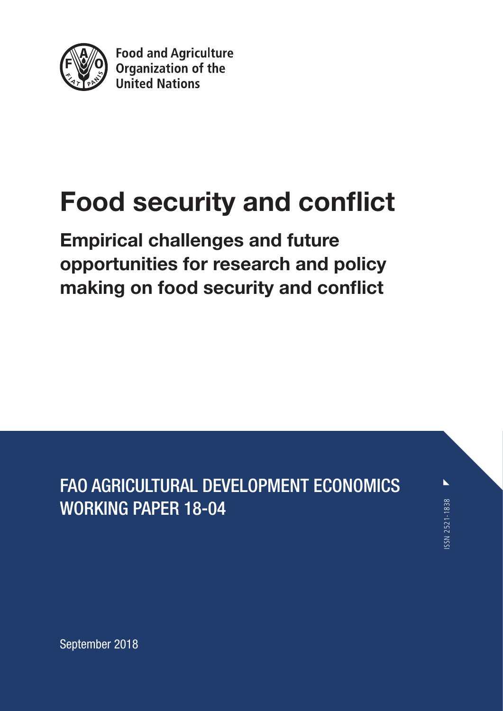

**Food and Agriculture** Organization of the **United Nations** 

# Food security and conflict

Empirical challenges and future opportunities for research and policy making on food security and conflict

FAO AGRICULTURAL DEVELOPMENT ECONOMICS WORKING PAPER 18-04

 $\blacktriangleright$ SSN 2521-1838 ISSN 2521-1838

September 2018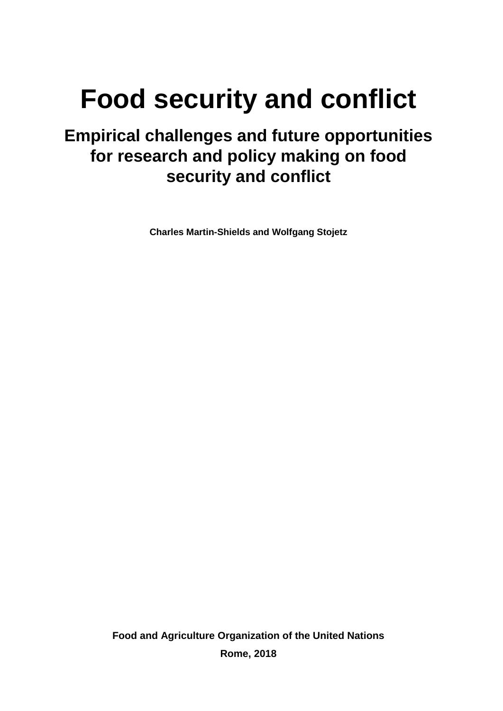# **Food security and conflict**

## **Empirical challenges and future opportunities for research and policy making on food security and conflict**

**Charles Martin-Shields and Wolfgang Stojetz**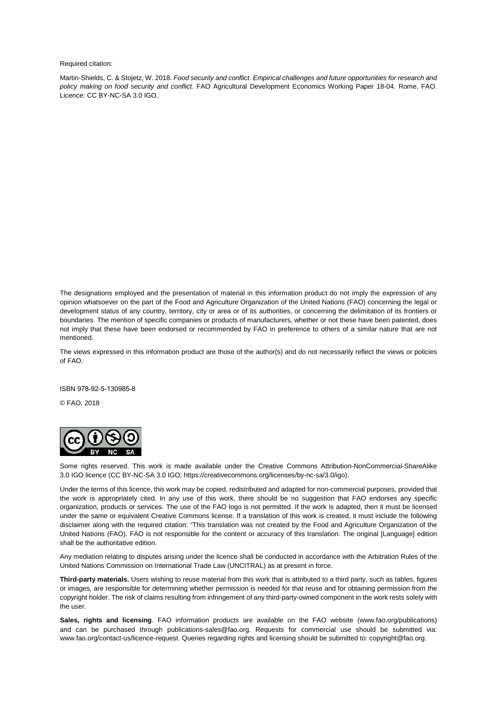Required citation:

Martin-Shields, C. & Stojetz, W. 2018. *Food security and conflict. Empirical challenges and future opportunities for research and policy making on food security and conflict.* FAO Agricultural Development Economics Working Paper 18-04. Rome, FAO. Licence: CC BY-NC-SA 3.0 IGO.

The designations employed and the presentation of material in this information product do not imply the expression of any opinion whatsoever on the part of the Food and Agriculture Organization of the United Nations (FAO) concerning the legal or development status of any country, territory, city or area or of its authorities, or concerning the delimitation of its frontiers or boundaries. The mention of specific companies or products of manufacturers, whether or not these have been patented, does not imply that these have been endorsed or recommended by FAO in preference to others of a similar nature that are not mentioned.

The views expressed in this information product are those of the author(s) and do not necessarily reflect the views or policies of FAO.

ISBN 978-92-5-130985-8

© FAO, 2018



Some rights reserved. This work is made available under the Creative Commons Attribution-NonCommercial-ShareAlike 3.0 IGO licence (CC BY-NC-SA 3.0 IGO[; https://creativecommons.org/licenses/by-nc-sa/3.0/igo\)](https://creativecommons.org/licenses/by-nc-sa/3.0/igo).

Under the terms of this licence, this work may be copied, redistributed and adapted for non-commercial purposes, provided that the work is appropriately cited. In any use of this work, there should be no suggestion that FAO endorses any specific organization, products or services. The use of the FAO logo is not permitted. If the work is adapted, then it must be licensed under the same or equivalent Creative Commons license. If a translation of this work is created, it must include the following disclaimer along with the required citation: "This translation was not created by the Food and Agriculture Organization of the United Nations (FAO). FAO is not responsible for the content or accuracy of this translation. The original [Language] edition shall be the authoritative edition.

Any mediation relating to disputes arising under the licence shall be conducted in accordance with the Arbitration Rules of the United Nations Commission on International Trade Law (UNCITRAL) as at present in force.

**Third-party materials.** Users wishing to reuse material from this work that is attributed to a third party, such as tables, figures or images, are responsible for determining whether permission is needed for that reuse and for obtaining permission from the copyright holder. The risk of claims resulting from infringement of any third-party-owned component in the work rests solely with the user.

**Sales, rights and licensing**. FAO information products are available on the FAO website (www.fao.org/publications) and can be purchased through [publications-sales@fao.org.](mailto:publications-sales@fao.org) Requests for commercial use should be submitted via: [www.fao.org/contact-us/licence-request.](http://www.fao.org/contact-us/licence-request) Queries regarding rights and licensing should be submitted to[: copyright@fao.org.](mailto:copyright@fao.org)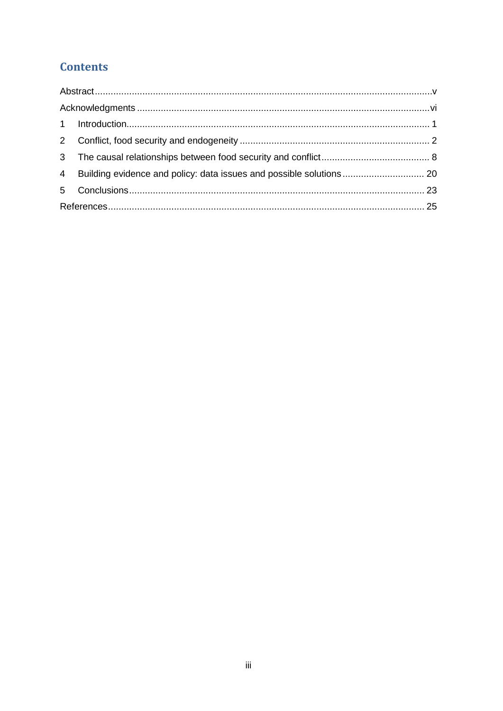## **Contents**

| 2              |  |  |  |
|----------------|--|--|--|
|                |  |  |  |
| $\overline{4}$ |  |  |  |
|                |  |  |  |
|                |  |  |  |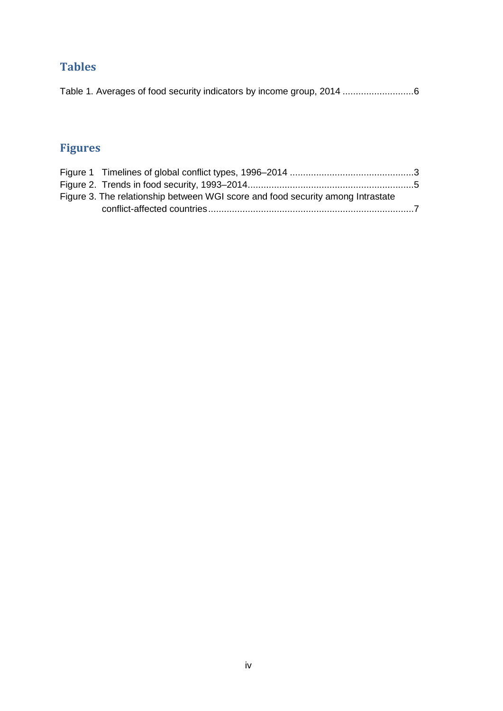## **Tables**

[Table 1. Averages of food security indicators by income group, 2014](#page-13-0) ...........................6

## **Figures**

| Figure 3. The relationship between WGI score and food security among Intrastate |  |
|---------------------------------------------------------------------------------|--|
|                                                                                 |  |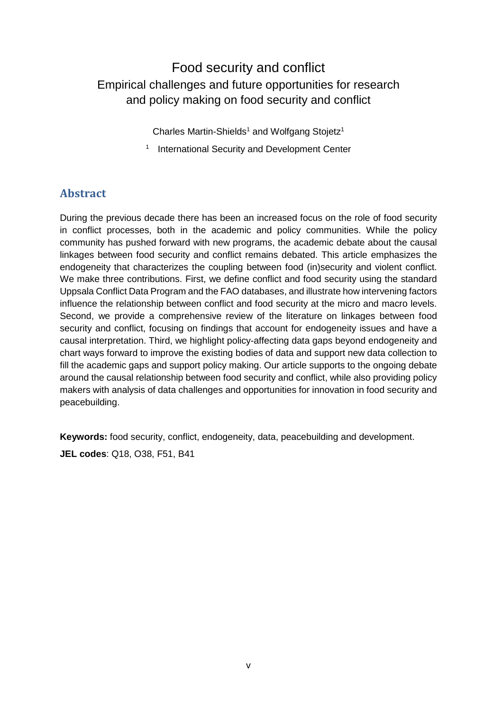## Food security and conflict Empirical challenges and future opportunities for research and policy making on food security and conflict

Charles Martin-Shields<sup>1</sup> and Wolfgang Stojetz<sup>1</sup>

<sup>1</sup> International Security and Development Center

#### <span id="page-6-0"></span>**Abstract**

During the previous decade there has been an increased focus on the role of food security in conflict processes, both in the academic and policy communities. While the policy community has pushed forward with new programs, the academic debate about the causal linkages between food security and conflict remains debated. This article emphasizes the endogeneity that characterizes the coupling between food (in)security and violent conflict. We make three contributions. First, we define conflict and food security using the standard Uppsala Conflict Data Program and the FAO databases, and illustrate how intervening factors influence the relationship between conflict and food security at the micro and macro levels. Second, we provide a comprehensive review of the literature on linkages between food security and conflict, focusing on findings that account for endogeneity issues and have a causal interpretation. Third, we highlight policy-affecting data gaps beyond endogeneity and chart ways forward to improve the existing bodies of data and support new data collection to fill the academic gaps and support policy making. Our article supports to the ongoing debate around the causal relationship between food security and conflict, while also providing policy makers with analysis of data challenges and opportunities for innovation in food security and peacebuilding.

**Keywords:** food security, conflict, endogeneity, data, peacebuilding and development.

**JEL codes**: Q18, O38, F51, B41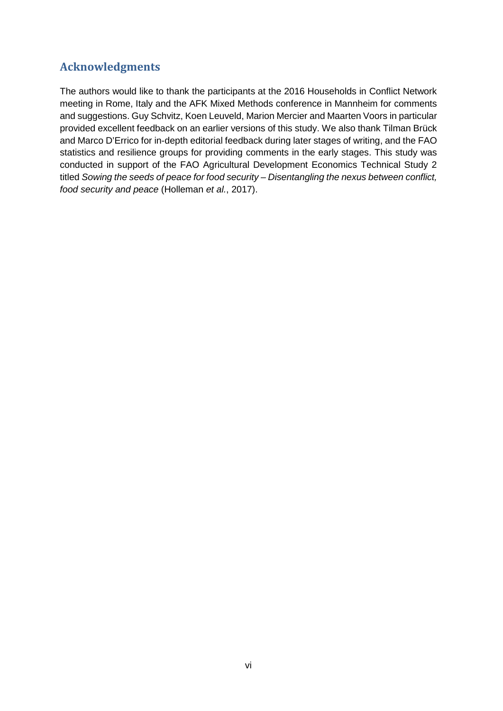#### <span id="page-7-0"></span>**Acknowledgments**

The authors would like to thank the participants at the 2016 Households in Conflict Network meeting in Rome, Italy and the AFK Mixed Methods conference in Mannheim for comments and suggestions. Guy Schvitz, Koen Leuveld, Marion Mercier and Maarten Voors in particular provided excellent feedback on an earlier versions of this study. We also thank Tilman Brück and Marco D'Errico for in-depth editorial feedback during later stages of writing, and the FAO statistics and resilience groups for providing comments in the early stages. This study was conducted in support of the FAO Agricultural Development Economics Technical Study 2 titled *Sowing the seeds of peace for food security – Disentangling the nexus between conflict, food security and peace* (Holleman *et al.*, 2017).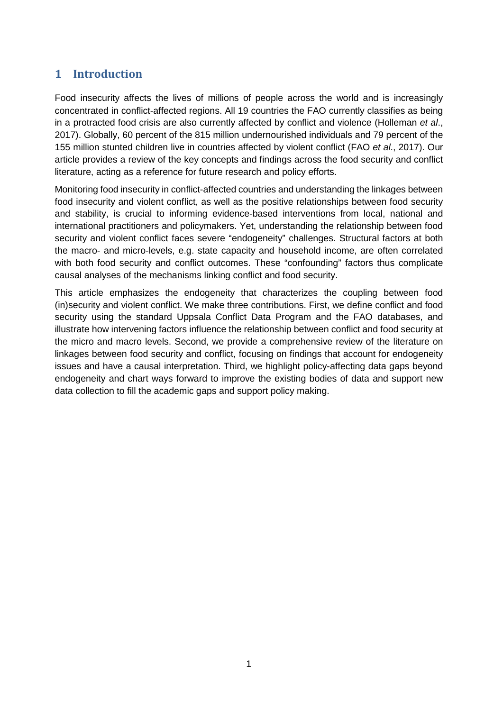#### <span id="page-8-0"></span>**1 Introduction**

Food insecurity affects the lives of millions of people across the world and is increasingly concentrated in conflict-affected regions. All 19 countries the FAO currently classifies as being in a protracted food crisis are also currently affected by conflict and violence (Holleman *et al*., 2017). Globally, 60 percent of the 815 million undernourished individuals and 79 percent of the 155 million stunted children live in countries affected by violent conflict (FAO *et al*., 2017). Our article provides a review of the key concepts and findings across the food security and conflict literature, acting as a reference for future research and policy efforts.

Monitoring food insecurity in conflict-affected countries and understanding the linkages between food insecurity and violent conflict, as well as the positive relationships between food security and stability, is crucial to informing evidence-based interventions from local, national and international practitioners and policymakers. Yet, understanding the relationship between food security and violent conflict faces severe "endogeneity" challenges. Structural factors at both the macro- and micro-levels, e.g. state capacity and household income, are often correlated with both food security and conflict outcomes. These "confounding" factors thus complicate causal analyses of the mechanisms linking conflict and food security.

This article emphasizes the endogeneity that characterizes the coupling between food (in)security and violent conflict. We make three contributions. First, we define conflict and food security using the standard Uppsala Conflict Data Program and the FAO databases, and illustrate how intervening factors influence the relationship between conflict and food security at the micro and macro levels. Second, we provide a comprehensive review of the literature on linkages between food security and conflict, focusing on findings that account for endogeneity issues and have a causal interpretation. Third, we highlight policy-affecting data gaps beyond endogeneity and chart ways forward to improve the existing bodies of data and support new data collection to fill the academic gaps and support policy making.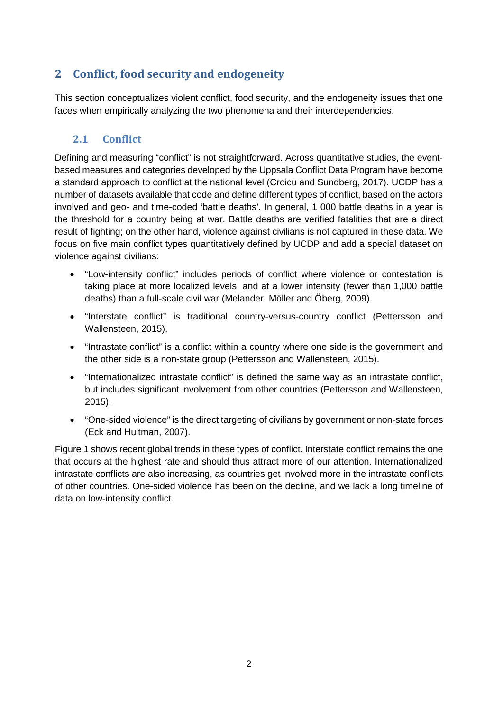### <span id="page-9-0"></span>**2 Conflict, food security and endogeneity**

This section conceptualizes violent conflict, food security, and the endogeneity issues that one faces when empirically analyzing the two phenomena and their interdependencies.

#### **2.1 Conflict**

Defining and measuring "conflict" is not straightforward. Across quantitative studies, the eventbased measures and categories developed by the Uppsala Conflict Data Program have become a standard approach to conflict at the national level (Croicu and Sundberg, 2017). UCDP has a number of datasets available that code and define different types of conflict, based on the actors involved and geo- and time-coded 'battle deaths'. In general, 1 000 battle deaths in a year is the threshold for a country being at war. Battle deaths are verified fatalities that are a direct result of fighting; on the other hand, violence against civilians is not captured in these data. We focus on five main conflict types quantitatively defined by UCDP and add a special dataset on violence against civilians:

- "Low-intensity conflict" includes periods of conflict where violence or contestation is taking place at more localized levels, and at a lower intensity (fewer than 1,000 battle deaths) than a full-scale civil war (Melander, Möller and Öberg, 2009).
- "Interstate conflict" is traditional country-versus-country conflict (Pettersson and Wallensteen, 2015).
- "Intrastate conflict" is a conflict within a country where one side is the government and the other side is a non-state group (Pettersson and Wallensteen, 2015).
- "Internationalized intrastate conflict" is defined the same way as an intrastate conflict, but includes significant involvement from other countries (Pettersson and Wallensteen, 2015).
- "One-sided violence" is the direct targeting of civilians by government or non-state forces (Eck and Hultman, 2007).

Figure 1 shows recent global trends in these types of conflict. Interstate conflict remains the one that occurs at the highest rate and should thus attract more of our attention. Internationalized intrastate conflicts are also increasing, as countries get involved more in the intrastate conflicts of other countries. One-sided violence has been on the decline, and we lack a long timeline of data on low-intensity conflict.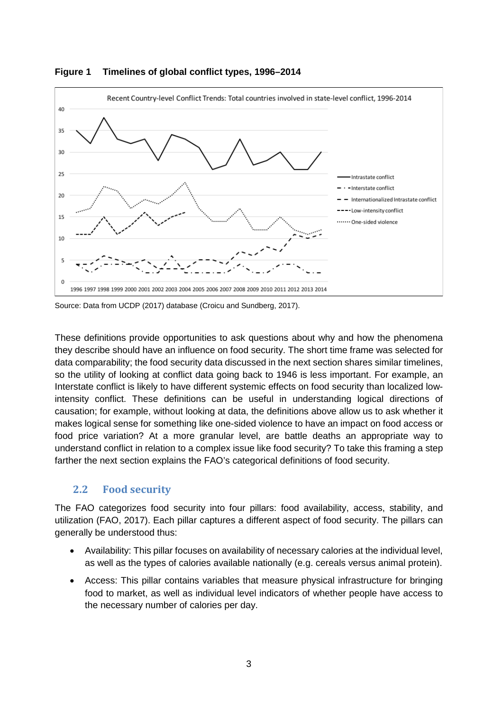

<span id="page-10-0"></span>

Source: Data from UCDP (2017) database (Croicu and Sundberg, 2017).

These definitions provide opportunities to ask questions about why and how the phenomena they describe should have an influence on food security. The short time frame was selected for data comparability; the food security data discussed in the next section shares similar timelines, so the utility of looking at conflict data going back to 1946 is less important. For example, an Interstate conflict is likely to have different systemic effects on food security than localized lowintensity conflict. These definitions can be useful in understanding logical directions of causation; for example, without looking at data, the definitions above allow us to ask whether it makes logical sense for something like one-sided violence to have an impact on food access or food price variation? At a more granular level, are battle deaths an appropriate way to understand conflict in relation to a complex issue like food security? To take this framing a step farther the next section explains the FAO's categorical definitions of food security.

#### **2.2 Food security**

The FAO categorizes food security into four pillars: food availability, access, stability, and utilization (FAO, 2017). Each pillar captures a different aspect of food security. The pillars can generally be understood thus:

- Availability: This pillar focuses on availability of necessary calories at the individual level, as well as the types of calories available nationally (e.g. cereals versus animal protein).
- Access: This pillar contains variables that measure physical infrastructure for bringing food to market, as well as individual level indicators of whether people have access to the necessary number of calories per day.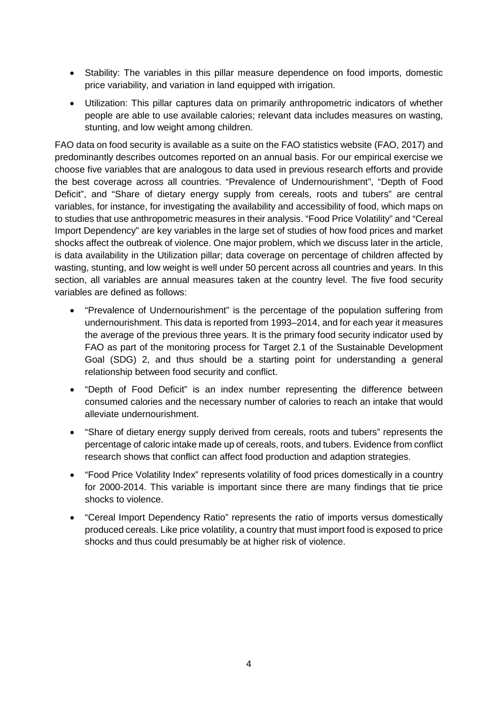- Stability: The variables in this pillar measure dependence on food imports, domestic price variability, and variation in land equipped with irrigation.
- Utilization: This pillar captures data on primarily anthropometric indicators of whether people are able to use available calories; relevant data includes measures on wasting, stunting, and low weight among children.

FAO data on food security is available as a suite on the FAO statistics website (FAO, 2017) and predominantly describes outcomes reported on an annual basis. For our empirical exercise we choose five variables that are analogous to data used in previous research efforts and provide the best coverage across all countries. "Prevalence of Undernourishment", "Depth of Food Deficit", and "Share of dietary energy supply from cereals, roots and tubers" are central variables, for instance, for investigating the availability and accessibility of food, which maps on to studies that use anthropometric measures in their analysis. "Food Price Volatility" and "Cereal Import Dependency" are key variables in the large set of studies of how food prices and market shocks affect the outbreak of violence. One major problem, which we discuss later in the article, is data availability in the Utilization pillar; data coverage on percentage of children affected by wasting, stunting, and low weight is well under 50 percent across all countries and years. In this section, all variables are annual measures taken at the country level. The five food security variables are defined as follows:

- "Prevalence of Undernourishment" is the percentage of the population suffering from undernourishment. This data is reported from 1993–2014, and for each year it measures the average of the previous three years. It is the primary food security indicator used by FAO as part of the monitoring process for Target 2.1 of the Sustainable Development Goal (SDG) 2, and thus should be a starting point for understanding a general relationship between food security and conflict.
- "Depth of Food Deficit" is an index number representing the difference between consumed calories and the necessary number of calories to reach an intake that would alleviate undernourishment.
- "Share of dietary energy supply derived from cereals, roots and tubers" represents the percentage of caloric intake made up of cereals, roots, and tubers. Evidence from conflict research shows that conflict can affect food production and adaption strategies.
- "Food Price Volatility Index" represents volatility of food prices domestically in a country for 2000-2014. This variable is important since there are many findings that tie price shocks to violence.
- "Cereal Import Dependency Ratio" represents the ratio of imports versus domestically produced cereals. Like price volatility, a country that must import food is exposed to price shocks and thus could presumably be at higher risk of violence.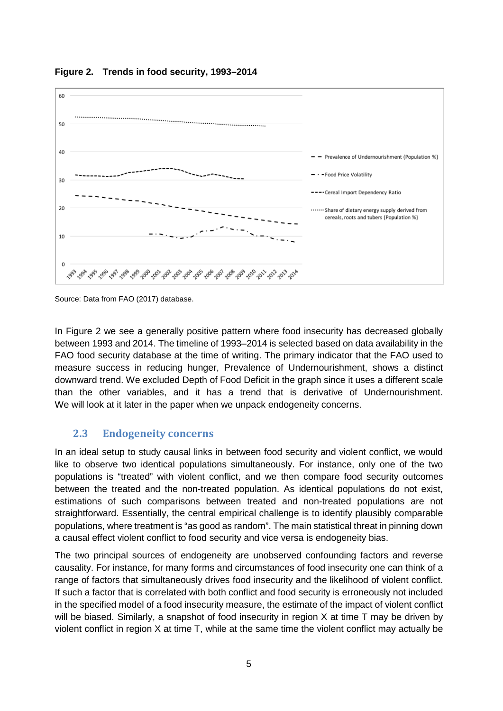

<span id="page-12-0"></span>**Figure 2. Trends in food security, 1993–2014**

Source: Data from FAO (2017) database.

In Figure 2 we see a generally positive pattern where food insecurity has decreased globally between 1993 and 2014. The timeline of 1993–2014 is selected based on data availability in the FAO food security database at the time of writing. The primary indicator that the FAO used to measure success in reducing hunger, Prevalence of Undernourishment, shows a distinct downward trend. We excluded Depth of Food Deficit in the graph since it uses a different scale than the other variables, and it has a trend that is derivative of Undernourishment. We will look at it later in the paper when we unpack endogeneity concerns.

#### **2.3 Endogeneity concerns**

In an ideal setup to study causal links in between food security and violent conflict, we would like to observe two identical populations simultaneously. For instance, only one of the two populations is "treated" with violent conflict, and we then compare food security outcomes between the treated and the non-treated population. As identical populations do not exist, estimations of such comparisons between treated and non-treated populations are not straightforward. Essentially, the central empirical challenge is to identify plausibly comparable populations, where treatment is "as good as random". The main statistical threat in pinning down a causal effect violent conflict to food security and vice versa is endogeneity bias.

The two principal sources of endogeneity are unobserved confounding factors and reverse causality. For instance, for many forms and circumstances of food insecurity one can think of a range of factors that simultaneously drives food insecurity and the likelihood of violent conflict. If such a factor that is correlated with both conflict and food security is erroneously not included in the specified model of a food insecurity measure, the estimate of the impact of violent conflict will be biased. Similarly, a snapshot of food insecurity in region X at time T may be driven by violent conflict in region X at time T, while at the same time the violent conflict may actually be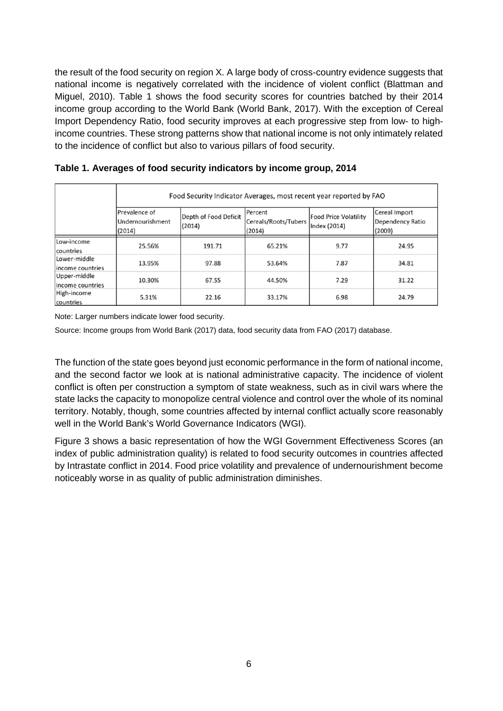the result of the food security on region X. A large body of cross-country evidence suggests that national income is negatively correlated with the incidence of violent conflict (Blattman and Miguel, 2010). Table 1 shows the food security scores for countries batched by their 2014 income group according to the World Bank (World Bank, 2017). With the exception of Cereal Import Dependency Ratio, food security improves at each progressive step from low- to highincome countries. These strong patterns show that national income is not only intimately related to the incidence of conflict but also to various pillars of food security.

|                                  | Food Security Indicator Averages, most recent year reported by FAO |                                 |                                           |                                       |                                             |  |  |
|----------------------------------|--------------------------------------------------------------------|---------------------------------|-------------------------------------------|---------------------------------------|---------------------------------------------|--|--|
|                                  | Prevalence of<br>Undernourishment<br>(2014)                        | Depth of Food Deficit<br>(2014) | Percent<br>Cereals/Roots/Tubers<br>(2014) | Food Price Volatility<br>Index (2014) | Cereal Import<br>Dependency Ratio<br>(2009) |  |  |
| Low-income<br>countries          | 25.56%                                                             | 191.71                          | 65.21%                                    | 9.77                                  | 24.95                                       |  |  |
| Lower-middle<br>income countries | 13.95%                                                             | 97.88                           | 53.64%                                    | 7.87                                  | 34.81                                       |  |  |
| Upper-middle<br>income countries | 10.30%                                                             | 67.55                           | 44.50%                                    | 7.29                                  | 31.22                                       |  |  |
| High-income<br>countries         | 5.31%                                                              | 22.16                           | 33.17%                                    | 6.98                                  | 24.79                                       |  |  |

<span id="page-13-0"></span>**Table 1. Averages of food security indicators by income group, 2014**

Note: Larger numbers indicate lower food security.

Source: Income groups from World Bank (2017) data, food security data from FAO (2017) database.

The function of the state goes beyond just economic performance in the form of national income, and the second factor we look at is national administrative capacity. The incidence of violent conflict is often per construction a symptom of state weakness, such as in civil wars where the state lacks the capacity to monopolize central violence and control over the whole of its nominal territory. Notably, though, some countries affected by internal conflict actually score reasonably well in the World Bank's World Governance Indicators (WGI).

Figure 3 shows a basic representation of how the WGI Government Effectiveness Scores (an index of public administration quality) is related to food security outcomes in countries affected by Intrastate conflict in 2014. Food price volatility and prevalence of undernourishment become noticeably worse in as quality of public administration diminishes.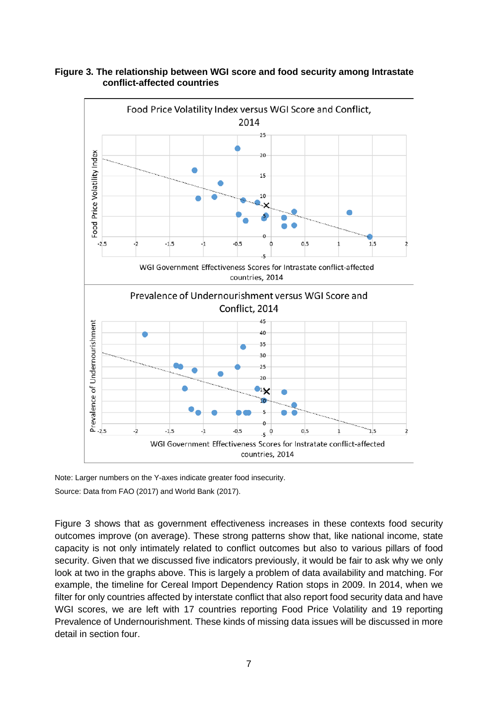

<span id="page-14-0"></span>**Figure 3. The relationship between WGI score and food security among Intrastate conflict-affected countries**

Note: Larger numbers on the Y-axes indicate greater food insecurity.

Source: Data from FAO (2017) and World Bank (2017).

Figure 3 shows that as government effectiveness increases in these contexts food security outcomes improve (on average). These strong patterns show that, like national income, state capacity is not only intimately related to conflict outcomes but also to various pillars of food security. Given that we discussed five indicators previously, it would be fair to ask why we only look at two in the graphs above. This is largely a problem of data availability and matching. For example, the timeline for Cereal Import Dependency Ration stops in 2009. In 2014, when we filter for only countries affected by interstate conflict that also report food security data and have WGI scores, we are left with 17 countries reporting Food Price Volatility and 19 reporting Prevalence of Undernourishment. These kinds of missing data issues will be discussed in more detail in section four.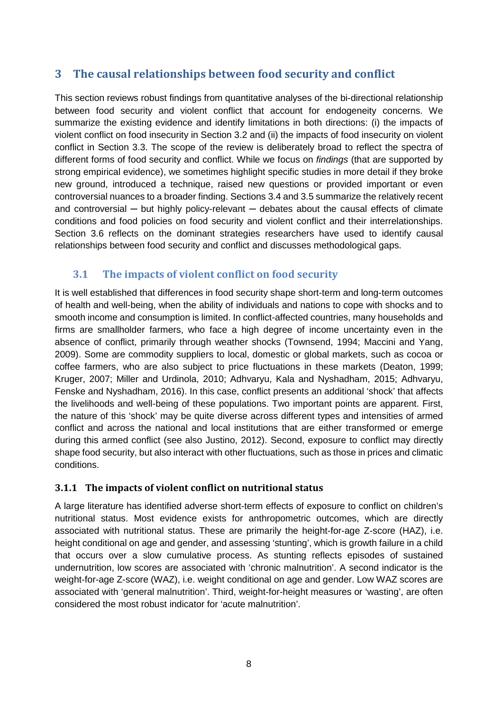#### <span id="page-15-0"></span>**3 The causal relationships between food security and conflict**

This section reviews robust findings from quantitative analyses of the bi-directional relationship between food security and violent conflict that account for endogeneity concerns. We summarize the existing evidence and identify limitations in both directions: (i) the impacts of violent conflict on food insecurity in Section 3.2 and (ii) the impacts of food insecurity on violent conflict in Section 3.3. The scope of the review is deliberately broad to reflect the spectra of different forms of food security and conflict. While we focus on *findings* (that are supported by strong empirical evidence), we sometimes highlight specific studies in more detail if they broke new ground, introduced a technique, raised new questions or provided important or even controversial nuances to a broader finding. Sections 3.4 and 3.5 summarize the relatively recent and controversial  $-$  but highly policy-relevant  $-$  debates about the causal effects of climate conditions and food policies on food security and violent conflict and their interrelationships. Section 3.6 reflects on the dominant strategies researchers have used to identify causal relationships between food security and conflict and discusses methodological gaps.

#### **3.1 The impacts of violent conflict on food security**

It is well established that differences in food security shape short-term and long-term outcomes of health and well-being, when the ability of individuals and nations to cope with shocks and to smooth income and consumption is limited. In conflict-affected countries, many households and firms are smallholder farmers, who face a high degree of income uncertainty even in the absence of conflict, primarily through weather shocks (Townsend, 1994; Maccini and Yang, 2009). Some are commodity suppliers to local, domestic or global markets, such as cocoa or coffee farmers, who are also subject to price fluctuations in these markets (Deaton, 1999; Kruger, 2007; Miller and Urdinola, 2010; Adhvaryu, Kala and Nyshadham, 2015; Adhvaryu, Fenske and Nyshadham, 2016). In this case, conflict presents an additional 'shock' that affects the livelihoods and well-being of these populations. Two important points are apparent. First, the nature of this 'shock' may be quite diverse across different types and intensities of armed conflict and across the national and local institutions that are either transformed or emerge during this armed conflict (see also Justino, 2012). Second, exposure to conflict may directly shape food security, but also interact with other fluctuations, such as those in prices and climatic conditions.

#### **3.1.1 The impacts of violent conflict on nutritional status**

A large literature has identified adverse short-term effects of exposure to conflict on children's nutritional status. Most evidence exists for anthropometric outcomes, which are directly associated with nutritional status. These are primarily the height-for-age Z-score (HAZ), i.e. height conditional on age and gender, and assessing 'stunting', which is growth failure in a child that occurs over a slow cumulative process. As stunting reflects episodes of sustained undernutrition, low scores are associated with 'chronic malnutrition'. A second indicator is the weight-for-age Z-score (WAZ), i.e. weight conditional on age and gender. Low WAZ scores are associated with 'general malnutrition'. Third, weight-for-height measures or 'wasting', are often considered the most robust indicator for 'acute malnutrition'.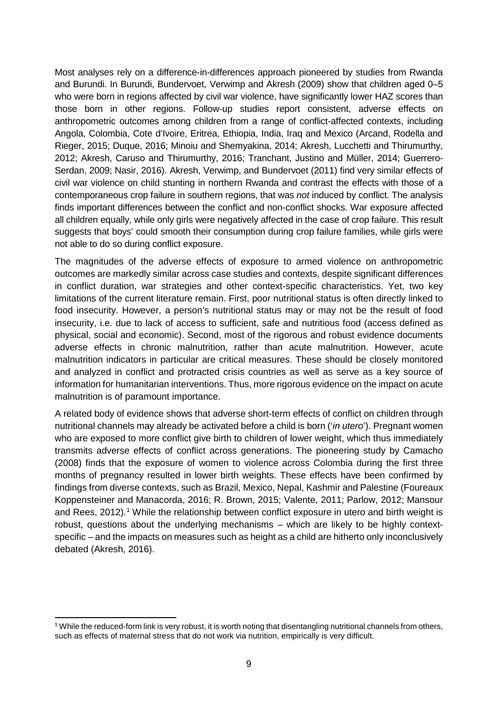Most analyses rely on a difference-in-differences approach pioneered by studies from Rwanda and Burundi. In Burundi, Bundervoet, Verwimp and Akresh (2009) show that children aged 0–5 who were born in regions affected by civil war violence, have significantly lower HAZ scores than those born in other regions. Follow-up studies report consistent, adverse effects on anthropometric outcomes among children from a range of conflict-affected contexts, including Angola, Colombia, Cote d'Ivoire, Eritrea, Ethiopia, India, Iraq and Mexico (Arcand, Rodella and Rieger, 2015; Duque, 2016; Minoiu and Shemyakina, 2014; Akresh, Lucchetti and Thirumurthy, 2012; Akresh, Caruso and Thirumurthy, 2016; Tranchant, Justino and Müller, 2014; Guerrero-Serdan, 2009; Nasir, 2016). Akresh, Verwimp, and Bundervoet (2011) find very similar effects of civil war violence on child stunting in northern Rwanda and contrast the effects with those of a contemporaneous crop failure in southern regions, that was *not* induced by conflict. The analysis finds important differences between the conflict and non-conflict shocks. War exposure affected all children equally, while only girls were negatively affected in the case of crop failure. This result suggests that boys' could smooth their consumption during crop failure families, while girls were not able to do so during conflict exposure.

The magnitudes of the adverse effects of exposure to armed violence on anthropometric outcomes are markedly similar across case studies and contexts, despite significant differences in conflict duration, war strategies and other context-specific characteristics. Yet, two key limitations of the current literature remain. First, poor nutritional status is often directly linked to food insecurity. However, a person's nutritional status may or may not be the result of food insecurity, i.e. due to lack of access to sufficient, safe and nutritious food (access defined as physical, social and economic). Second, most of the rigorous and robust evidence documents adverse effects in chronic malnutrition, rather than acute malnutrition. However, acute malnutrition indicators in particular are critical measures. These should be closely monitored and analyzed in conflict and protracted crisis countries as well as serve as a key source of information for humanitarian interventions. Thus, more rigorous evidence on the impact on acute malnutrition is of paramount importance.

A related body of evidence shows that adverse short-term effects of conflict on children through nutritional channels may already be activated before a child is born ('*in utero*'). Pregnant women who are exposed to more conflict give birth to children of lower weight, which thus immediately transmits adverse effects of conflict across generations. The pioneering study by Camacho (2008) finds that the exposure of women to violence across Colombia during the first three months of pregnancy resulted in lower birth weights. These effects have been confirmed by findings from diverse contexts, such as Brazil, Mexico, Nepal, Kashmir and Palestine (Foureaux Koppensteiner and Manacorda, 2016; R. Brown, 2015; Valente, 2011; Parlow, 2012; Mansour and Rees, 2012). [1](#page-16-0) While the relationship between conflict exposure in utero and birth weight is robust, questions about the underlying mechanisms – which are likely to be highly contextspecific – and the impacts on measures such as height as a child are hitherto only inconclusively debated (Akresh, 2016).

<span id="page-16-0"></span> <sup>1</sup> While the reduced-form link is very robust, it is worth noting that disentangling nutritional channels from others, such as effects of maternal stress that do not work via nutrition, empirically is very difficult.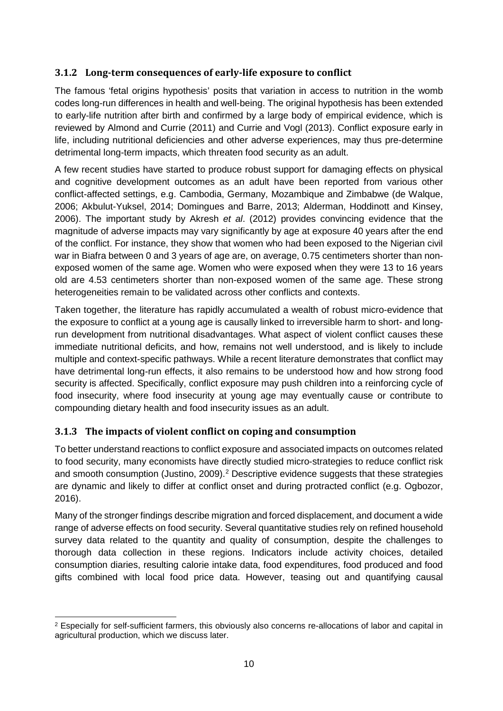#### **3.1.2 Long-term consequences of early-life exposure to conflict**

The famous 'fetal origins hypothesis' posits that variation in access to nutrition in the womb codes long-run differences in health and well-being. The original hypothesis has been extended to early-life nutrition after birth and confirmed by a large body of empirical evidence, which is reviewed by Almond and Currie (2011) and Currie and Vogl (2013). Conflict exposure early in life, including nutritional deficiencies and other adverse experiences, may thus pre-determine detrimental long-term impacts, which threaten food security as an adult.

A few recent studies have started to produce robust support for damaging effects on physical and cognitive development outcomes as an adult have been reported from various other conflict-affected settings, e.g. Cambodia, Germany, Mozambique and Zimbabwe (de Walque, 2006; Akbulut-Yuksel, 2014; Domingues and Barre, 2013; Alderman, Hoddinott and Kinsey, 2006). The important study by Akresh *et al*. (2012) provides convincing evidence that the magnitude of adverse impacts may vary significantly by age at exposure 40 years after the end of the conflict. For instance, they show that women who had been exposed to the Nigerian civil war in Biafra between 0 and 3 years of age are, on average, 0.75 centimeters shorter than nonexposed women of the same age. Women who were exposed when they were 13 to 16 years old are 4.53 centimeters shorter than non-exposed women of the same age. These strong heterogeneities remain to be validated across other conflicts and contexts.

Taken together, the literature has rapidly accumulated a wealth of robust micro-evidence that the exposure to conflict at a young age is causally linked to irreversible harm to short- and longrun development from nutritional disadvantages. What aspect of violent conflict causes these immediate nutritional deficits, and how, remains not well understood, and is likely to include multiple and context-specific pathways. While a recent literature demonstrates that conflict may have detrimental long-run effects, it also remains to be understood how and how strong food security is affected. Specifically, conflict exposure may push children into a reinforcing cycle of food insecurity, where food insecurity at young age may eventually cause or contribute to compounding dietary health and food insecurity issues as an adult.

#### **3.1.3 The impacts of violent conflict on coping and consumption**

To better understand reactions to conflict exposure and associated impacts on outcomes related to food security, many economists have directly studied micro-strategies to reduce conflict risk and smooth consumption (Justino, 2009). [2](#page-17-0) Descriptive evidence suggests that these strategies are dynamic and likely to differ at conflict onset and during protracted conflict (e.g. Ogbozor, 2016).

Many of the stronger findings describe migration and forced displacement, and document a wide range of adverse effects on food security. Several quantitative studies rely on refined household survey data related to the quantity and quality of consumption, despite the challenges to thorough data collection in these regions. Indicators include activity choices, detailed consumption diaries, resulting calorie intake data, food expenditures, food produced and food gifts combined with local food price data. However, teasing out and quantifying causal

<span id="page-17-0"></span> <sup>2</sup> Especially for self-sufficient farmers, this obviously also concerns re-allocations of labor and capital in agricultural production, which we discuss later.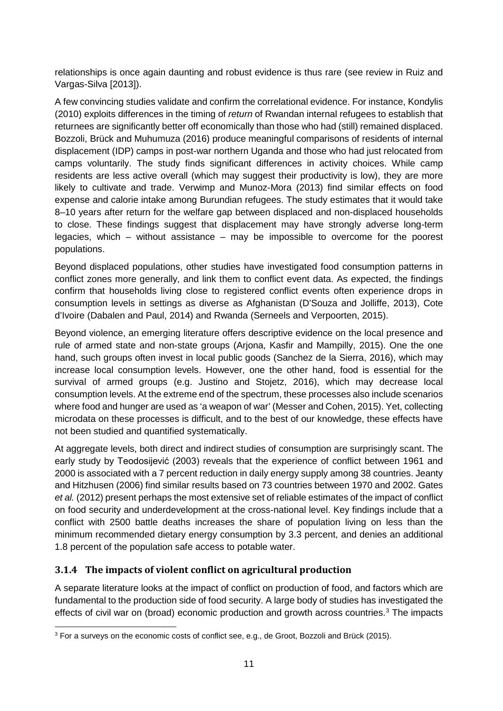relationships is once again daunting and robust evidence is thus rare (see review in Ruiz and Vargas-Silva [2013]).

A few convincing studies validate and confirm the correlational evidence. For instance, Kondylis (2010) exploits differences in the timing of *return* of Rwandan internal refugees to establish that returnees are significantly better off economically than those who had (still) remained displaced. Bozzoli, Brück and Muhumuza (2016) produce meaningful comparisons of residents of internal displacement (IDP) camps in post-war northern Uganda and those who had just relocated from camps voluntarily. The study finds significant differences in activity choices. While camp residents are less active overall (which may suggest their productivity is low), they are more likely to cultivate and trade. Verwimp and Munoz-Mora (2013) find similar effects on food expense and calorie intake among Burundian refugees. The study estimates that it would take 8–10 years after return for the welfare gap between displaced and non-displaced households to close. These findings suggest that displacement may have strongly adverse long-term legacies, which – without assistance – may be impossible to overcome for the poorest populations.

Beyond displaced populations, other studies have investigated food consumption patterns in conflict zones more generally, and link them to conflict event data. As expected, the findings confirm that households living close to registered conflict events often experience drops in consumption levels in settings as diverse as Afghanistan (D'Souza and Jolliffe, 2013), Cote d'Ivoire (Dabalen and Paul, 2014) and Rwanda (Serneels and Verpoorten, 2015).

Beyond violence, an emerging literature offers descriptive evidence on the local presence and rule of armed state and non-state groups (Arjona, Kasfir and Mampilly, 2015). One the one hand, such groups often invest in local public goods (Sanchez de la Sierra, 2016), which may increase local consumption levels. However, one the other hand, food is essential for the survival of armed groups (e.g. Justino and Stojetz, 2016), which may decrease local consumption levels. At the extreme end of the spectrum, these processes also include scenarios where food and hunger are used as 'a weapon of war' (Messer and Cohen, 2015). Yet, collecting microdata on these processes is difficult, and to the best of our knowledge, these effects have not been studied and quantified systematically.

At aggregate levels, both direct and indirect studies of consumption are surprisingly scant. The early study by Teodosijević (2003) reveals that the experience of conflict between 1961 and 2000 is associated with a 7 percent reduction in daily energy supply among 38 countries. Jeanty and Hitzhusen (2006) find similar results based on 73 countries between 1970 and 2002. Gates *et al.* (2012) present perhaps the most extensive set of reliable estimates of the impact of conflict on food security and underdevelopment at the cross-national level. Key findings include that a conflict with 2500 battle deaths increases the share of population living on less than the minimum recommended dietary energy consumption by 3.3 percent, and denies an additional 1.8 percent of the population safe access to potable water.

#### **3.1.4 The impacts of violent conflict on agricultural production**

A separate literature looks at the impact of conflict on production of food, and factors which are fundamental to the production side of food security. A large body of studies has investigated the effects of civil war on (broad) economic production and growth across countries.<sup>[3](#page-18-0)</sup> The impacts

<span id="page-18-0"></span><sup>&</sup>lt;sup>3</sup> For a surveys on the economic costs of conflict see, e.g., de Groot, Bozzoli and Brück (2015).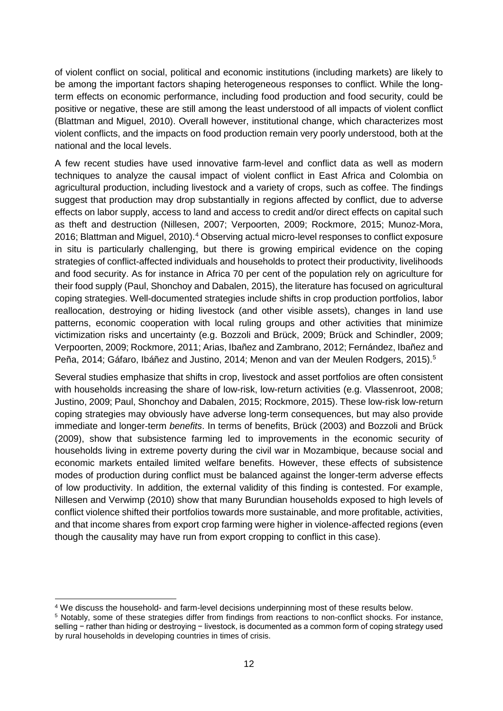of violent conflict on social, political and economic institutions (including markets) are likely to be among the important factors shaping heterogeneous responses to conflict. While the longterm effects on economic performance, including food production and food security, could be positive or negative, these are still among the least understood of all impacts of violent conflict (Blattman and Miguel, 2010). Overall however, institutional change, which characterizes most violent conflicts, and the impacts on food production remain very poorly understood, both at the national and the local levels.

A few recent studies have used innovative farm-level and conflict data as well as modern techniques to analyze the causal impact of violent conflict in East Africa and Colombia on agricultural production, including livestock and a variety of crops, such as coffee. The findings suggest that production may drop substantially in regions affected by conflict, due to adverse effects on labor supply, access to land and access to credit and/or direct effects on capital such as theft and destruction (Nillesen, 2007; Verpoorten, 2009; Rockmore, 2015; Munoz-Mora, 2016; Blattman and Miguel, 2010).<sup>[4](#page-19-0)</sup> Observing actual micro-level responses to conflict exposure in situ is particularly challenging, but there is growing empirical evidence on the coping strategies of conflict-affected individuals and households to protect their productivity, livelihoods and food security. As for instance in Africa 70 per cent of the population rely on agriculture for their food supply (Paul, Shonchoy and Dabalen, 2015), the literature has focused on agricultural coping strategies. Well-documented strategies include shifts in crop production portfolios, labor reallocation, destroying or hiding livestock (and other visible assets), changes in land use patterns, economic cooperation with local ruling groups and other activities that minimize victimization risks and uncertainty (e.g. Bozzoli and Brück, 2009; Brück and Schindler, 2009; Verpoorten, 2009; Rockmore, 2011; Arias, Ibañez and Zambrano, 2012; Fernández, Ibañez and Peña, 2014; Gáfaro, Ibáñez and Justino, 2014; Menon and van der Meulen Rodgers, 2015). [5](#page-19-1)

Several studies emphasize that shifts in crop, livestock and asset portfolios are often consistent with households increasing the share of low-risk, low-return activities (e.g. Vlassenroot, 2008; Justino, 2009; Paul, Shonchoy and Dabalen, 2015; Rockmore, 2015). These low-risk low-return coping strategies may obviously have adverse long-term consequences, but may also provide immediate and longer-term *benefits*. In terms of benefits, Brück (2003) and Bozzoli and Brück (2009), show that subsistence farming led to improvements in the economic security of households living in extreme poverty during the civil war in Mozambique, because social and economic markets entailed limited welfare benefits. However, these effects of subsistence modes of production during conflict must be balanced against the longer-term adverse effects of low productivity. In addition, the external validity of this finding is contested. For example, Nillesen and Verwimp (2010) show that many Burundian households exposed to high levels of conflict violence shifted their portfolios towards more sustainable, and more profitable, activities, and that income shares from export crop farming were higher in violence-affected regions (even though the causality may have run from export cropping to conflict in this case).

<span id="page-19-0"></span> <sup>4</sup> We discuss the household- and farm-level decisions underpinning most of these results below.

<span id="page-19-1"></span><sup>5</sup> Notably, some of these strategies differ from findings from reactions to non-conflict shocks. For instance, selling − rather than hiding or destroying − livestock, is documented as a common form of coping strategy used by rural households in developing countries in times of crisis.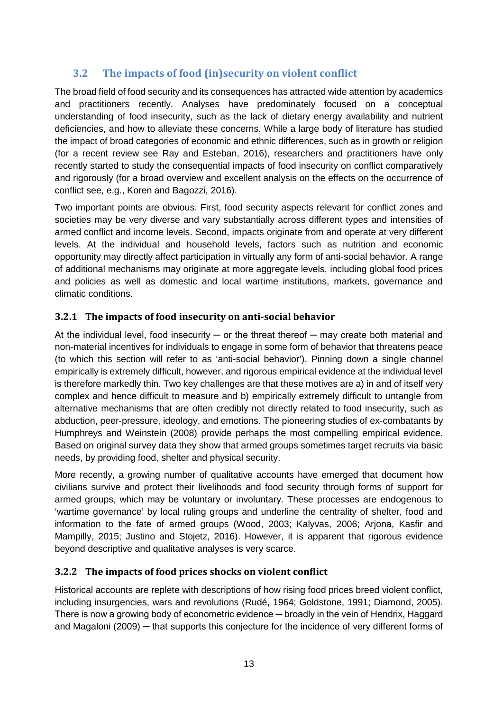#### **3.2 The impacts of food (in)security on violent conflict**

The broad field of food security and its consequences has attracted wide attention by academics and practitioners recently. Analyses have predominately focused on a conceptual understanding of food insecurity, such as the lack of dietary energy availability and nutrient deficiencies, and how to alleviate these concerns. While a large body of literature has studied the impact of broad categories of economic and ethnic differences, such as in growth or religion (for a recent review see Ray and Esteban, 2016), researchers and practitioners have only recently started to study the consequential impacts of food insecurity on conflict comparatively and rigorously (for a broad overview and excellent analysis on the effects on the occurrence of conflict see, e.g., Koren and Bagozzi, 2016).

Two important points are obvious. First, food security aspects relevant for conflict zones and societies may be very diverse and vary substantially across different types and intensities of armed conflict and income levels. Second, impacts originate from and operate at very different levels. At the individual and household levels, factors such as nutrition and economic opportunity may directly affect participation in virtually any form of anti-social behavior. A range of additional mechanisms may originate at more aggregate levels, including global food prices and policies as well as domestic and local wartime institutions, markets, governance and climatic conditions.

#### **3.2.1 The impacts of food insecurity on anti-social behavior**

At the individual level, food insecurity  $-$  or the threat thereof  $-$  may create both material and non-material incentives for individuals to engage in some form of behavior that threatens peace (to which this section will refer to as 'anti-social behavior'). Pinning down a single channel empirically is extremely difficult, however, and rigorous empirical evidence at the individual level is therefore markedly thin. Two key challenges are that these motives are a) in and of itself very complex and hence difficult to measure and b) empirically extremely difficult to untangle from alternative mechanisms that are often credibly not directly related to food insecurity, such as abduction, peer-pressure, ideology, and emotions. The pioneering studies of ex-combatants by Humphreys and Weinstein (2008) provide perhaps the most compelling empirical evidence. Based on original survey data they show that armed groups sometimes target recruits via basic needs, by providing food, shelter and physical security.

More recently, a growing number of qualitative accounts have emerged that document how civilians survive and protect their livelihoods and food security through forms of support for armed groups, which may be voluntary or involuntary. These processes are endogenous to 'wartime governance' by local ruling groups and underline the centrality of shelter, food and information to the fate of armed groups (Wood, 2003; Kalyvas, 2006; Arjona, Kasfir and Mampilly, 2015; Justino and Stojetz, 2016). However, it is apparent that rigorous evidence beyond descriptive and qualitative analyses is very scarce.

#### **3.2.2 The impacts of food prices shocks on violent conflict**

Historical accounts are replete with descriptions of how rising food prices breed violent conflict, including insurgencies, wars and revolutions (Rudé, 1964; Goldstone, 1991; Diamond, 2005). There is now a growing body of econometric evidence — broadly in the vein of Hendrix, Haggard and Magaloni (2009) — that supports this conjecture for the incidence of very different forms of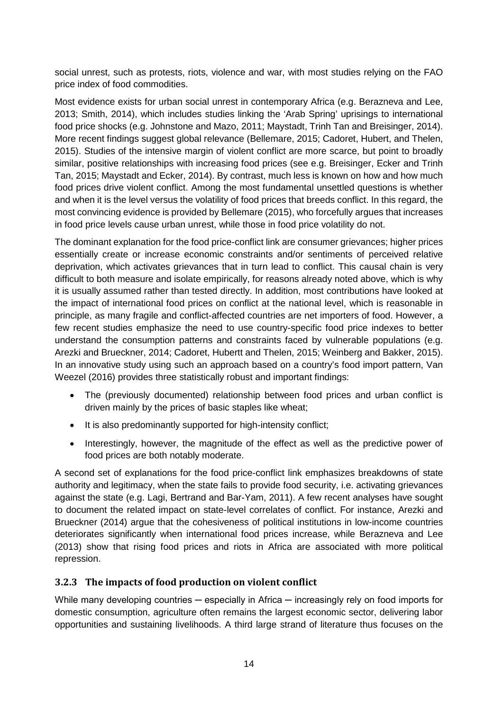social unrest, such as protests, riots, violence and war, with most studies relying on the FAO price index of food commodities.

Most evidence exists for urban social unrest in contemporary Africa (e.g. Berazneva and Lee, 2013; Smith, 2014), which includes studies linking the 'Arab Spring' uprisings to international food price shocks (e.g. Johnstone and Mazo, 2011; Maystadt, Trinh Tan and Breisinger, 2014). More recent findings suggest global relevance (Bellemare, 2015; Cadoret, Hubert, and Thelen, 2015). Studies of the intensive margin of violent conflict are more scarce, but point to broadly similar, positive relationships with increasing food prices (see e.g. Breisinger, Ecker and Trinh Tan, 2015; Maystadt and Ecker, 2014). By contrast, much less is known on how and how much food prices drive violent conflict. Among the most fundamental unsettled questions is whether and when it is the level versus the volatility of food prices that breeds conflict. In this regard, the most convincing evidence is provided by Bellemare (2015), who forcefully argues that increases in food price levels cause urban unrest, while those in food price volatility do not.

The dominant explanation for the food price-conflict link are consumer grievances; higher prices essentially create or increase economic constraints and/or sentiments of perceived relative deprivation, which activates grievances that in turn lead to conflict. This causal chain is very difficult to both measure and isolate empirically, for reasons already noted above, which is why it is usually assumed rather than tested directly. In addition, most contributions have looked at the impact of international food prices on conflict at the national level, which is reasonable in principle, as many fragile and conflict-affected countries are net importers of food. However, a few recent studies emphasize the need to use country-specific food price indexes to better understand the consumption patterns and constraints faced by vulnerable populations (e.g. Arezki and Brueckner, 2014; Cadoret, Hubertt and Thelen, 2015; Weinberg and Bakker, 2015). In an innovative study using such an approach based on a country's food import pattern, Van Weezel (2016) provides three statistically robust and important findings:

- The (previously documented) relationship between food prices and urban conflict is driven mainly by the prices of basic staples like wheat;
- It is also predominantly supported for high-intensity conflict;
- Interestingly, however, the magnitude of the effect as well as the predictive power of food prices are both notably moderate.

A second set of explanations for the food price-conflict link emphasizes breakdowns of state authority and legitimacy, when the state fails to provide food security, i.e. activating grievances against the state (e.g. Lagi, Bertrand and Bar-Yam, 2011). A few recent analyses have sought to document the related impact on state-level correlates of conflict. For instance, Arezki and Brueckner (2014) argue that the cohesiveness of political institutions in low-income countries deteriorates significantly when international food prices increase, while Berazneva and Lee (2013) show that rising food prices and riots in Africa are associated with more political repression.

#### **3.2.3 The impacts of food production on violent conflict**

While many developing countries — especially in Africa — increasingly rely on food imports for domestic consumption, agriculture often remains the largest economic sector, delivering labor opportunities and sustaining livelihoods. A third large strand of literature thus focuses on the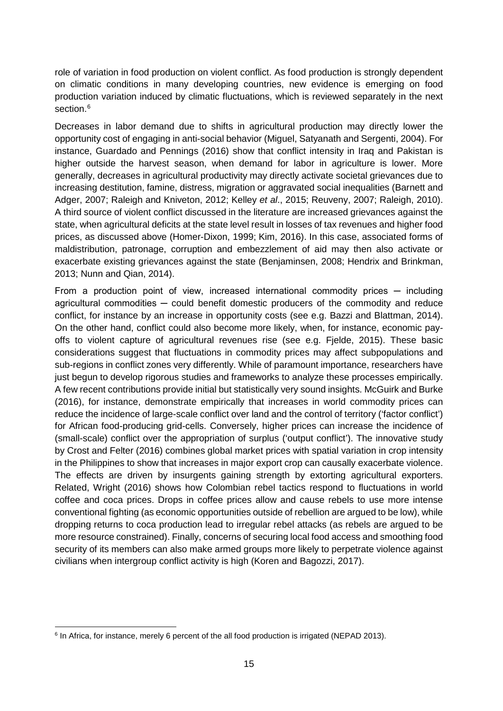role of variation in food production on violent conflict. As food production is strongly dependent on climatic conditions in many developing countries, new evidence is emerging on food production variation induced by climatic fluctuations, which is reviewed separately in the next section.<sup>[6](#page-22-0)</sup>

Decreases in labor demand due to shifts in agricultural production may directly lower the opportunity cost of engaging in anti-social behavior (Miguel, Satyanath and Sergenti, 2004). For instance, Guardado and Pennings (2016) show that conflict intensity in Iraq and Pakistan is higher outside the harvest season, when demand for labor in agriculture is lower. More generally, decreases in agricultural productivity may directly activate societal grievances due to increasing destitution, famine, distress, migration or aggravated social inequalities (Barnett and Adger, 2007; Raleigh and Kniveton, 2012; Kelley *et al*., 2015; Reuveny, 2007; Raleigh, 2010). A third source of violent conflict discussed in the literature are increased grievances against the state, when agricultural deficits at the state level result in losses of tax revenues and higher food prices, as discussed above (Homer-Dixon, 1999; Kim, 2016). In this case, associated forms of maldistribution, patronage, corruption and embezzlement of aid may then also activate or exacerbate existing grievances against the state (Benjaminsen, 2008; Hendrix and Brinkman, 2013; Nunn and Qian, 2014).

From a production point of view, increased international commodity prices  $-$  including agricultural commodities - could benefit domestic producers of the commodity and reduce conflict, for instance by an increase in opportunity costs (see e.g. Bazzi and Blattman, 2014). On the other hand, conflict could also become more likely, when, for instance, economic payoffs to violent capture of agricultural revenues rise (see e.g. Fjelde, 2015). These basic considerations suggest that fluctuations in commodity prices may affect subpopulations and sub-regions in conflict zones very differently. While of paramount importance, researchers have just begun to develop rigorous studies and frameworks to analyze these processes empirically. A few recent contributions provide initial but statistically very sound insights. McGuirk and Burke (2016), for instance, demonstrate empirically that increases in world commodity prices can reduce the incidence of large-scale conflict over land and the control of territory ('factor conflict') for African food-producing grid-cells. Conversely, higher prices can increase the incidence of (small-scale) conflict over the appropriation of surplus ('output conflict'). The innovative study by Crost and Felter (2016) combines global market prices with spatial variation in crop intensity in the Philippines to show that increases in major export crop can causally exacerbate violence. The effects are driven by insurgents gaining strength by extorting agricultural exporters. Related, Wright (2016) shows how Colombian rebel tactics respond to fluctuations in world coffee and coca prices. Drops in coffee prices allow and cause rebels to use more intense conventional fighting (as economic opportunities outside of rebellion are argued to be low), while dropping returns to coca production lead to irregular rebel attacks (as rebels are argued to be more resource constrained). Finally, concerns of securing local food access and smoothing food security of its members can also make armed groups more likely to perpetrate violence against civilians when intergroup conflict activity is high (Koren and Bagozzi, 2017).

<span id="page-22-0"></span> <sup>6</sup> In Africa, for instance, merely 6 percent of the all food production is irrigated (NEPAD 2013).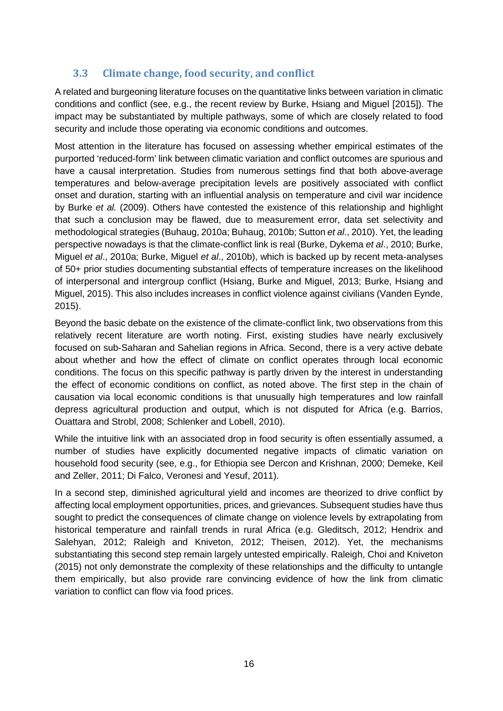#### **3.3 Climate change, food security, and conflict**

A related and burgeoning literature focuses on the quantitative links between variation in climatic conditions and conflict (see, e.g., the recent review by Burke, Hsiang and Miguel [2015]). The impact may be substantiated by multiple pathways, some of which are closely related to food security and include those operating via economic conditions and outcomes.

Most attention in the literature has focused on assessing whether empirical estimates of the purported 'reduced-form' link between climatic variation and conflict outcomes are spurious and have a causal interpretation. Studies from numerous settings find that both above-average temperatures and below-average precipitation levels are positively associated with conflict onset and duration, starting with an influential analysis on temperature and civil war incidence by Burke *et al.* (2009). Others have contested the existence of this relationship and highlight that such a conclusion may be flawed, due to measurement error, data set selectivity and methodological strategies (Buhaug, 2010a; Buhaug, 2010b; Sutton *et al*., 2010). Yet, the leading perspective nowadays is that the climate-conflict link is real (Burke, Dykema *et al*., 2010; Burke, Miguel *et al*., 2010a; Burke, Miguel *et al*., 2010b), which is backed up by recent meta-analyses of 50+ prior studies documenting substantial effects of temperature increases on the likelihood of interpersonal and intergroup conflict (Hsiang, Burke and Miguel, 2013; Burke, Hsiang and Miguel, 2015). This also includes increases in conflict violence against civilians (Vanden Eynde, 2015).

Beyond the basic debate on the existence of the climate-conflict link, two observations from this relatively recent literature are worth noting. First, existing studies have nearly exclusively focused on sub-Saharan and Sahelian regions in Africa. Second, there is a very active debate about whether and how the effect of climate on conflict operates through local economic conditions. The focus on this specific pathway is partly driven by the interest in understanding the effect of economic conditions on conflict, as noted above. The first step in the chain of causation via local economic conditions is that unusually high temperatures and low rainfall depress agricultural production and output, which is not disputed for Africa (e.g. Barrios, Ouattara and Strobl, 2008; Schlenker and Lobell, 2010).

While the intuitive link with an associated drop in food security is often essentially assumed, a number of studies have explicitly documented negative impacts of climatic variation on household food security (see, e.g., for Ethiopia see Dercon and Krishnan, 2000; Demeke, Keil and Zeller, 2011; Di Falco, Veronesi and Yesuf, 2011).

In a second step, diminished agricultural yield and incomes are theorized to drive conflict by affecting local employment opportunities, prices, and grievances. Subsequent studies have thus sought to predict the consequences of climate change on violence levels by extrapolating from historical temperature and rainfall trends in rural Africa (e.g. Gleditsch, 2012; Hendrix and Salehyan, 2012; Raleigh and Kniveton, 2012; Theisen, 2012). Yet, the mechanisms substantiating this second step remain largely untested empirically. Raleigh, Choi and Kniveton (2015) not only demonstrate the complexity of these relationships and the difficulty to untangle them empirically, but also provide rare convincing evidence of how the link from climatic variation to conflict can flow via food prices.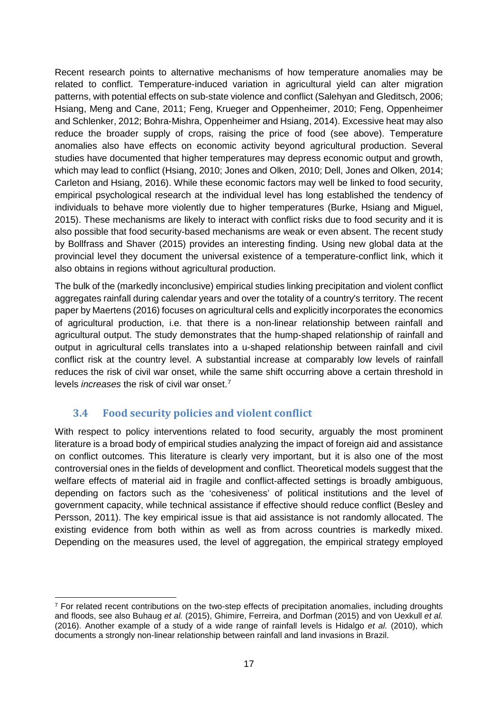Recent research points to alternative mechanisms of how temperature anomalies may be related to conflict. Temperature-induced variation in agricultural yield can alter migration patterns, with potential effects on sub-state violence and conflict (Salehyan and Gleditsch, 2006; Hsiang, Meng and Cane, 2011; Feng, Krueger and Oppenheimer, 2010; Feng, Oppenheimer and Schlenker, 2012; Bohra-Mishra, Oppenheimer and Hsiang, 2014). Excessive heat may also reduce the broader supply of crops, raising the price of food (see above). Temperature anomalies also have effects on economic activity beyond agricultural production. Several studies have documented that higher temperatures may depress economic output and growth, which may lead to conflict (Hsiang, 2010; Jones and Olken, 2010; Dell, Jones and Olken, 2014; Carleton and Hsiang, 2016). While these economic factors may well be linked to food security, empirical psychological research at the individual level has long established the tendency of individuals to behave more violently due to higher temperatures (Burke, Hsiang and Miguel, 2015). These mechanisms are likely to interact with conflict risks due to food security and it is also possible that food security-based mechanisms are weak or even absent. The recent study by Bollfrass and Shaver (2015) provides an interesting finding. Using new global data at the provincial level they document the universal existence of a temperature-conflict link, which it also obtains in regions without agricultural production.

The bulk of the (markedly inconclusive) empirical studies linking precipitation and violent conflict aggregates rainfall during calendar years and over the totality of a country's territory. The recent paper by Maertens (2016) focuses on agricultural cells and explicitly incorporates the economics of agricultural production, i.e. that there is a non-linear relationship between rainfall and agricultural output. The study demonstrates that the hump-shaped relationship of rainfall and output in agricultural cells translates into a u-shaped relationship between rainfall and civil conflict risk at the country level. A substantial increase at comparably low levels of rainfall reduces the risk of civil war onset, while the same shift occurring above a certain threshold in levels *increases* the risk of civil war onset.[7](#page-24-0)

#### **3.4 Food security policies and violent conflict**

With respect to policy interventions related to food security, arguably the most prominent literature is a broad body of empirical studies analyzing the impact of foreign aid and assistance on conflict outcomes. This literature is clearly very important, but it is also one of the most controversial ones in the fields of development and conflict. Theoretical models suggest that the welfare effects of material aid in fragile and conflict-affected settings is broadly ambiguous, depending on factors such as the 'cohesiveness' of political institutions and the level of government capacity, while technical assistance if effective should reduce conflict (Besley and Persson, 2011). The key empirical issue is that aid assistance is not randomly allocated. The existing evidence from both within as well as from across countries is markedly mixed. Depending on the measures used, the level of aggregation, the empirical strategy employed

<span id="page-24-0"></span> <sup>7</sup> For related recent contributions on the two-step effects of precipitation anomalies, including droughts and floods, see also Buhaug *et al.* (2015), Ghimire, Ferreira, and Dorfman (2015) and von Uexkull *et al.* (2016). Another example of a study of a wide range of rainfall levels is Hidalgo *et al.* (2010), which documents a strongly non-linear relationship between rainfall and land invasions in Brazil.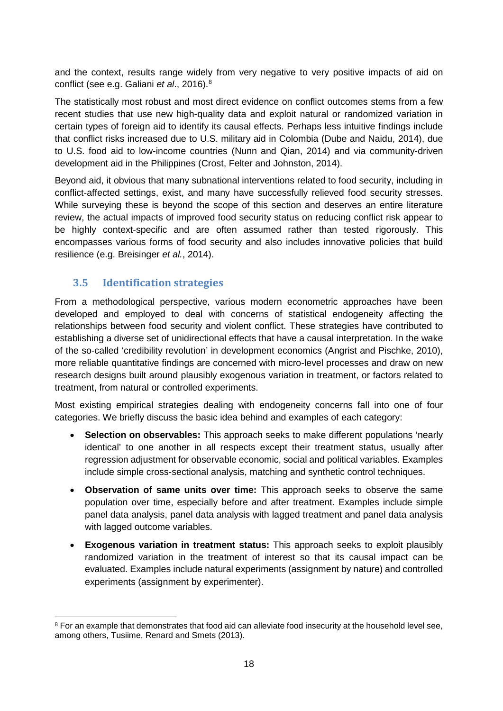and the context, results range widely from very negative to very positive impacts of aid on conflict (see e.g. Galiani *et al*., 2016).[8](#page-25-0)

The statistically most robust and most direct evidence on conflict outcomes stems from a few recent studies that use new high-quality data and exploit natural or randomized variation in certain types of foreign aid to identify its causal effects. Perhaps less intuitive findings include that conflict risks increased due to U.S. military aid in Colombia (Dube and Naidu, 2014), due to U.S. food aid to low-income countries (Nunn and Qian, 2014) and via community-driven development aid in the Philippines (Crost, Felter and Johnston, 2014).

Beyond aid, it obvious that many subnational interventions related to food security, including in conflict-affected settings, exist, and many have successfully relieved food security stresses. While surveying these is beyond the scope of this section and deserves an entire literature review, the actual impacts of improved food security status on reducing conflict risk appear to be highly context-specific and are often assumed rather than tested rigorously. This encompasses various forms of food security and also includes innovative policies that build resilience (e.g. Breisinger *et al.*, 2014).

#### **3.5 Identification strategies**

From a methodological perspective, various modern econometric approaches have been developed and employed to deal with concerns of statistical endogeneity affecting the relationships between food security and violent conflict. These strategies have contributed to establishing a diverse set of unidirectional effects that have a causal interpretation. In the wake of the so-called 'credibility revolution' in development economics (Angrist and Pischke, 2010), more reliable quantitative findings are concerned with micro-level processes and draw on new research designs built around plausibly exogenous variation in treatment, or factors related to treatment, from natural or controlled experiments.

Most existing empirical strategies dealing with endogeneity concerns fall into one of four categories. We briefly discuss the basic idea behind and examples of each category:

- **Selection on observables:** This approach seeks to make different populations 'nearly identical' to one another in all respects except their treatment status, usually after regression adjustment for observable economic, social and political variables. Examples include simple cross-sectional analysis, matching and synthetic control techniques.
- **Observation of same units over time:** This approach seeks to observe the same population over time, especially before and after treatment. Examples include simple panel data analysis, panel data analysis with lagged treatment and panel data analysis with lagged outcome variables.
- **Exogenous variation in treatment status:** This approach seeks to exploit plausibly randomized variation in the treatment of interest so that its causal impact can be evaluated. Examples include natural experiments (assignment by nature) and controlled experiments (assignment by experimenter).

<span id="page-25-0"></span><sup>&</sup>lt;sup>8</sup> For an example that demonstrates that food aid can alleviate food insecurity at the household level see, among others, Tusiime, Renard and Smets (2013).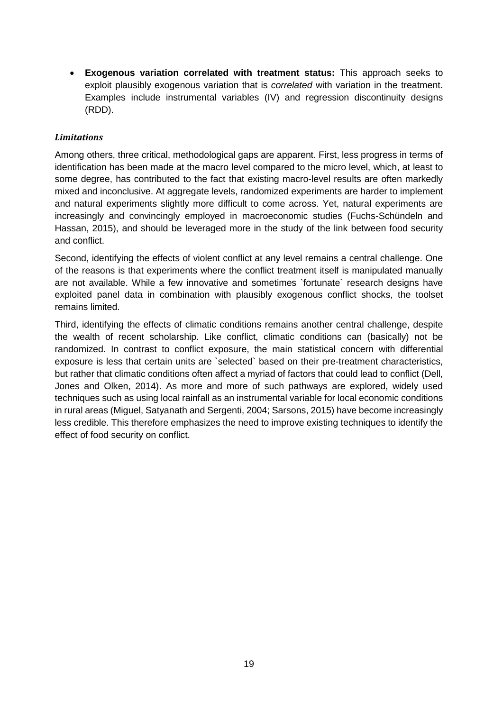• **Exogenous variation correlated with treatment status:** This approach seeks to exploit plausibly exogenous variation that is *correlated* with variation in the treatment. Examples include instrumental variables (IV) and regression discontinuity designs (RDD).

#### *Limitations*

Among others, three critical, methodological gaps are apparent. First, less progress in terms of identification has been made at the macro level compared to the micro level, which, at least to some degree, has contributed to the fact that existing macro-level results are often markedly mixed and inconclusive. At aggregate levels, randomized experiments are harder to implement and natural experiments slightly more difficult to come across. Yet, natural experiments are increasingly and convincingly employed in macroeconomic studies (Fuchs-Schündeln and Hassan, 2015), and should be leveraged more in the study of the link between food security and conflict.

Second, identifying the effects of violent conflict at any level remains a central challenge. One of the reasons is that experiments where the conflict treatment itself is manipulated manually are not available. While a few innovative and sometimes `fortunate` research designs have exploited panel data in combination with plausibly exogenous conflict shocks, the toolset remains limited.

Third, identifying the effects of climatic conditions remains another central challenge, despite the wealth of recent scholarship. Like conflict, climatic conditions can (basically) not be randomized. In contrast to conflict exposure, the main statistical concern with differential exposure is less that certain units are `selected` based on their pre-treatment characteristics, but rather that climatic conditions often affect a myriad of factors that could lead to conflict (Dell, Jones and Olken, 2014). As more and more of such pathways are explored, widely used techniques such as using local rainfall as an instrumental variable for local economic conditions in rural areas (Miguel, Satyanath and Sergenti, 2004; Sarsons, 2015) have become increasingly less credible. This therefore emphasizes the need to improve existing techniques to identify the effect of food security on conflict.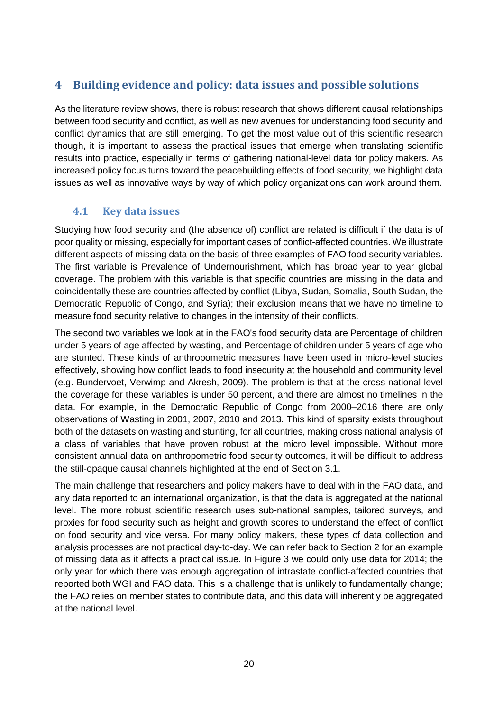#### <span id="page-27-0"></span>**4 Building evidence and policy: data issues and possible solutions**

As the literature review shows, there is robust research that shows different causal relationships between food security and conflict, as well as new avenues for understanding food security and conflict dynamics that are still emerging. To get the most value out of this scientific research though, it is important to assess the practical issues that emerge when translating scientific results into practice, especially in terms of gathering national-level data for policy makers. As increased policy focus turns toward the peacebuilding effects of food security, we highlight data issues as well as innovative ways by way of which policy organizations can work around them.

#### **4.1 Key data issues**

Studying how food security and (the absence of) conflict are related is difficult if the data is of poor quality or missing, especially for important cases of conflict-affected countries. We illustrate different aspects of missing data on the basis of three examples of FAO food security variables. The first variable is Prevalence of Undernourishment, which has broad year to year global coverage. The problem with this variable is that specific countries are missing in the data and coincidentally these are countries affected by conflict (Libya, Sudan, Somalia, South Sudan, the Democratic Republic of Congo, and Syria); their exclusion means that we have no timeline to measure food security relative to changes in the intensity of their conflicts.

The second two variables we look at in the FAO's food security data are Percentage of children under 5 years of age affected by wasting, and Percentage of children under 5 years of age who are stunted. These kinds of anthropometric measures have been used in micro-level studies effectively, showing how conflict leads to food insecurity at the household and community level (e.g. Bundervoet, Verwimp and Akresh, 2009). The problem is that at the cross-national level the coverage for these variables is under 50 percent, and there are almost no timelines in the data. For example, in the Democratic Republic of Congo from 2000–2016 there are only observations of Wasting in 2001, 2007, 2010 and 2013. This kind of sparsity exists throughout both of the datasets on wasting and stunting, for all countries, making cross national analysis of a class of variables that have proven robust at the micro level impossible. Without more consistent annual data on anthropometric food security outcomes, it will be difficult to address the still-opaque causal channels highlighted at the end of Section 3.1.

The main challenge that researchers and policy makers have to deal with in the FAO data, and any data reported to an international organization, is that the data is aggregated at the national level. The more robust scientific research uses sub-national samples, tailored surveys, and proxies for food security such as height and growth scores to understand the effect of conflict on food security and vice versa. For many policy makers, these types of data collection and analysis processes are not practical day-to-day. We can refer back to Section 2 for an example of missing data as it affects a practical issue. In Figure 3 we could only use data for 2014; the only year for which there was enough aggregation of intrastate conflict-affected countries that reported both WGI and FAO data. This is a challenge that is unlikely to fundamentally change; the FAO relies on member states to contribute data, and this data will inherently be aggregated at the national level.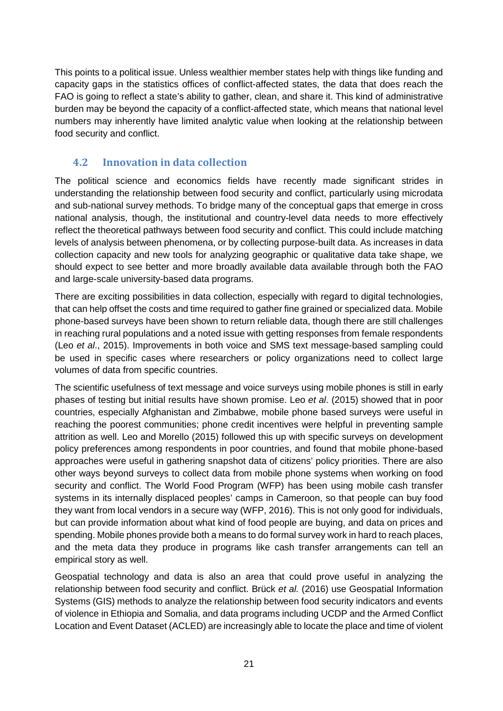This points to a political issue. Unless wealthier member states help with things like funding and capacity gaps in the statistics offices of conflict-affected states, the data that does reach the FAO is going to reflect a state's ability to gather, clean, and share it. This kind of administrative burden may be beyond the capacity of a conflict-affected state, which means that national level numbers may inherently have limited analytic value when looking at the relationship between food security and conflict.

#### **4.2 Innovation in data collection**

The political science and economics fields have recently made significant strides in understanding the relationship between food security and conflict, particularly using microdata and sub-national survey methods. To bridge many of the conceptual gaps that emerge in cross national analysis, though, the institutional and country-level data needs to more effectively reflect the theoretical pathways between food security and conflict. This could include matching levels of analysis between phenomena, or by collecting purpose-built data. As increases in data collection capacity and new tools for analyzing geographic or qualitative data take shape, we should expect to see better and more broadly available data available through both the FAO and large-scale university-based data programs.

There are exciting possibilities in data collection, especially with regard to digital technologies, that can help offset the costs and time required to gather fine grained or specialized data. Mobile phone-based surveys have been shown to return reliable data, though there are still challenges in reaching rural populations and a noted issue with getting responses from female respondents (Leo *et al*., 2015). Improvements in both voice and SMS text message-based sampling could be used in specific cases where researchers or policy organizations need to collect large volumes of data from specific countries.

The scientific usefulness of text message and voice surveys using mobile phones is still in early phases of testing but initial results have shown promise. Leo *et al*. (2015) showed that in poor countries, especially Afghanistan and Zimbabwe, mobile phone based surveys were useful in reaching the poorest communities; phone credit incentives were helpful in preventing sample attrition as well. Leo and Morello (2015) followed this up with specific surveys on development policy preferences among respondents in poor countries, and found that mobile phone-based approaches were useful in gathering snapshot data of citizens' policy priorities. There are also other ways beyond surveys to collect data from mobile phone systems when working on food security and conflict. The World Food Program (WFP) has been using mobile cash transfer systems in its internally displaced peoples' camps in Cameroon, so that people can buy food they want from local vendors in a secure way (WFP, 2016). This is not only good for individuals, but can provide information about what kind of food people are buying, and data on prices and spending. Mobile phones provide both a means to do formal survey work in hard to reach places, and the meta data they produce in programs like cash transfer arrangements can tell an empirical story as well.

Geospatial technology and data is also an area that could prove useful in analyzing the relationship between food security and conflict. Brück *et al.* (2016) use Geospatial Information Systems (GIS) methods to analyze the relationship between food security indicators and events of violence in Ethiopia and Somalia, and data programs including UCDP and the Armed Conflict Location and Event Dataset (ACLED) are increasingly able to locate the place and time of violent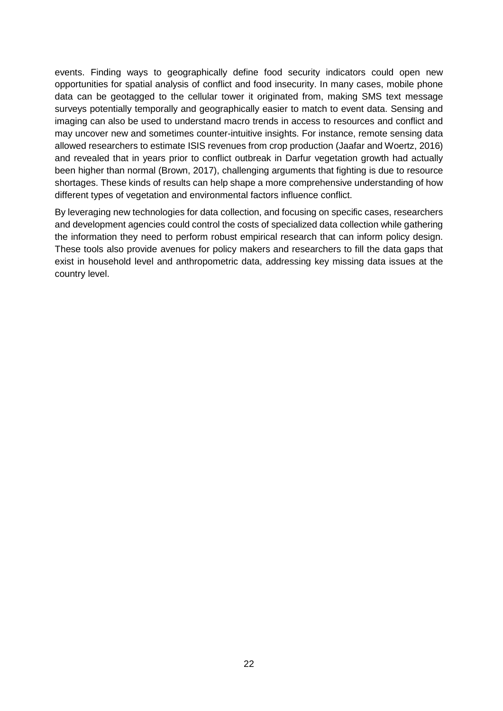events. Finding ways to geographically define food security indicators could open new opportunities for spatial analysis of conflict and food insecurity. In many cases, mobile phone data can be geotagged to the cellular tower it originated from, making SMS text message surveys potentially temporally and geographically easier to match to event data. Sensing and imaging can also be used to understand macro trends in access to resources and conflict and may uncover new and sometimes counter-intuitive insights. For instance, remote sensing data allowed researchers to estimate ISIS revenues from crop production (Jaafar and Woertz, 2016) and revealed that in years prior to conflict outbreak in Darfur vegetation growth had actually been higher than normal (Brown, 2017), challenging arguments that fighting is due to resource shortages. These kinds of results can help shape a more comprehensive understanding of how different types of vegetation and environmental factors influence conflict.

By leveraging new technologies for data collection, and focusing on specific cases, researchers and development agencies could control the costs of specialized data collection while gathering the information they need to perform robust empirical research that can inform policy design. These tools also provide avenues for policy makers and researchers to fill the data gaps that exist in household level and anthropometric data, addressing key missing data issues at the country level.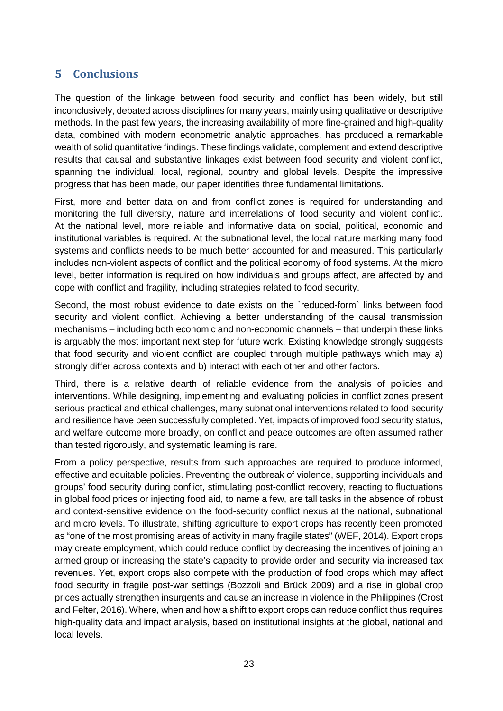#### <span id="page-30-0"></span>**5 Conclusions**

The question of the linkage between food security and conflict has been widely, but still inconclusively, debated across disciplines for many years, mainly using qualitative or descriptive methods. In the past few years, the increasing availability of more fine-grained and high-quality data, combined with modern econometric analytic approaches, has produced a remarkable wealth of solid quantitative findings. These findings validate, complement and extend descriptive results that causal and substantive linkages exist between food security and violent conflict, spanning the individual, local, regional, country and global levels. Despite the impressive progress that has been made, our paper identifies three fundamental limitations.

First, more and better data on and from conflict zones is required for understanding and monitoring the full diversity, nature and interrelations of food security and violent conflict. At the national level, more reliable and informative data on social, political, economic and institutional variables is required. At the subnational level, the local nature marking many food systems and conflicts needs to be much better accounted for and measured. This particularly includes non-violent aspects of conflict and the political economy of food systems. At the micro level, better information is required on how individuals and groups affect, are affected by and cope with conflict and fragility, including strategies related to food security.

Second, the most robust evidence to date exists on the `reduced-form` links between food security and violent conflict. Achieving a better understanding of the causal transmission mechanisms – including both economic and non-economic channels – that underpin these links is arguably the most important next step for future work. Existing knowledge strongly suggests that food security and violent conflict are coupled through multiple pathways which may a) strongly differ across contexts and b) interact with each other and other factors.

Third, there is a relative dearth of reliable evidence from the analysis of policies and interventions. While designing, implementing and evaluating policies in conflict zones present serious practical and ethical challenges, many subnational interventions related to food security and resilience have been successfully completed. Yet, impacts of improved food security status, and welfare outcome more broadly, on conflict and peace outcomes are often assumed rather than tested rigorously, and systematic learning is rare.

From a policy perspective, results from such approaches are required to produce informed, effective and equitable policies. Preventing the outbreak of violence, supporting individuals and groups' food security during conflict, stimulating post-conflict recovery, reacting to fluctuations in global food prices or injecting food aid, to name a few, are tall tasks in the absence of robust and context-sensitive evidence on the food-security conflict nexus at the national, subnational and micro levels. To illustrate, shifting agriculture to export crops has recently been promoted as "one of the most promising areas of activity in many fragile states" (WEF, 2014). Export crops may create employment, which could reduce conflict by decreasing the incentives of joining an armed group or increasing the state's capacity to provide order and security via increased tax revenues. Yet, export crops also compete with the production of food crops which may affect food security in fragile post-war settings (Bozzoli and Brück 2009) and a rise in global crop prices actually strengthen insurgents and cause an increase in violence in the Philippines (Crost and Felter, 2016). Where, when and how a shift to export crops can reduce conflict thus requires high-quality data and impact analysis, based on institutional insights at the global, national and local levels.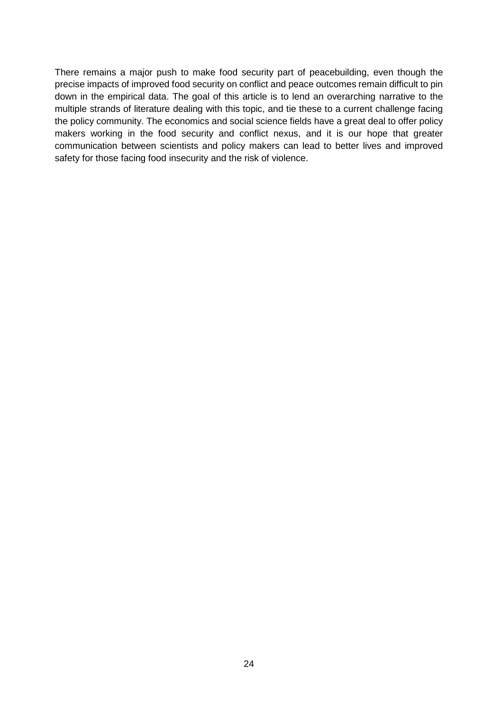There remains a major push to make food security part of peacebuilding, even though the precise impacts of improved food security on conflict and peace outcomes remain difficult to pin down in the empirical data. The goal of this article is to lend an overarching narrative to the multiple strands of literature dealing with this topic, and tie these to a current challenge facing the policy community. The economics and social science fields have a great deal to offer policy makers working in the food security and conflict nexus, and it is our hope that greater communication between scientists and policy makers can lead to better lives and improved safety for those facing food insecurity and the risk of violence.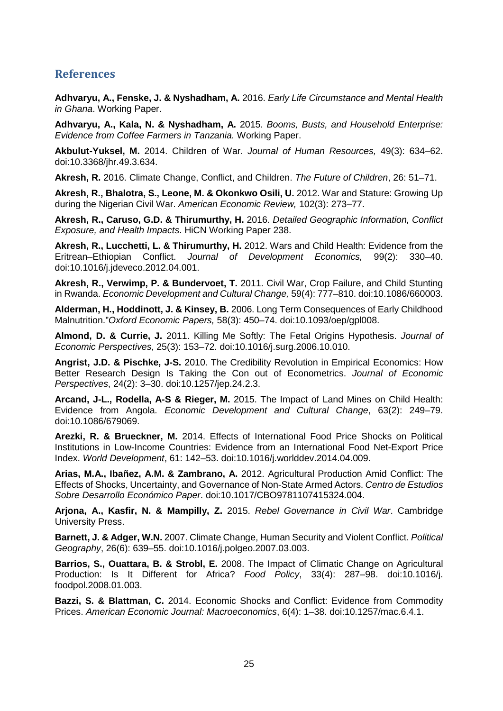#### <span id="page-32-0"></span>**References**

**Adhvaryu, A., Fenske, J. & Nyshadham, A.** 2016. *Early Life Circumstance and Mental Health in Ghana*. Working Paper.

**Adhvaryu, A., Kala, N. & Nyshadham, A.** 2015. *Booms, Busts, and Household Enterprise: Evidence from Coffee Farmers in Tanzania.* Working Paper.

**Akbulut-Yuksel, M.** 2014. Children of War. *Journal of Human Resources,* 49(3): 634–62. doi:10.3368/jhr.49.3.634.

**Akresh, R.** 2016. Climate Change, Conflict, and Children. *The Future of Children*, 26: 51–71.

**Akresh, R., Bhalotra, S., Leone, M. & Okonkwo Osili, U.** 2012. War and Stature: Growing Up during the Nigerian Civil War. *American Economic Review,* 102(3): 273–77.

**Akresh, R., Caruso, G.D. & Thirumurthy, H.** 2016. *Detailed Geographic Information, Conflict Exposure, and Health Impacts*. HiCN Working Paper 238.

**Akresh, R., Lucchetti, L. & Thirumurthy, H.** 2012. Wars and Child Health: Evidence from the Eritrean–Ethiopian Conflict. *Journal of Development Economics,* 99(2): 330–40. doi:10.1016/j.jdeveco.2012.04.001.

**Akresh, R., Verwimp, P. & Bundervoet, T.** 2011. Civil War, Crop Failure, and Child Stunting in Rwanda. *Economic Development and Cultural Change,* 59(4): 777–810. doi:10.1086/660003.

**Alderman, H., Hoddinott, J. & Kinsey, B.** 2006. Long Term Consequences of Early Childhood Malnutrition."*Oxford Economic Papers,* 58(3): 450–74. doi:10.1093/oep/gpl008.

**Almond, D. & Currie, J.** 2011. Killing Me Softly: The Fetal Origins Hypothesis. *Journal of Economic Perspectives*, 25(3): 153–72. doi:10.1016/j.surg.2006.10.010.

**Angrist, J.D. & Pischke, J-S.** 2010. The Credibility Revolution in Empirical Economics: How Better Research Design Is Taking the Con out of Econometrics. *Journal of Economic Perspectives*, 24(2): 3–30. doi:10.1257/jep.24.2.3.

**Arcand, J-L., Rodella, A-S & Rieger, M.** 2015. The Impact of Land Mines on Child Health: Evidence from Angola. *Economic Development and Cultural Change*, 63(2): 249–79. doi:10.1086/679069.

**Arezki, R. & Brueckner, M.** 2014. Effects of International Food Price Shocks on Political Institutions in Low-Income Countries: Evidence from an International Food Net-Export Price Index. *World Development*, 61: 142–53. doi:10.1016/j.worlddev.2014.04.009.

**Arias, M.A., Ibañez, A.M. & Zambrano, A.** 2012. Agricultural Production Amid Conflict: The Effects of Shocks, Uncertainty, and Governance of Non-State Armed Actors. *Centro de Estudios Sobre Desarrollo Económico Paper*. doi:10.1017/CBO9781107415324.004.

**Arjona, A., Kasfir, N. & Mampilly, Z.** 2015. *Rebel Governance in Civil War*. Cambridge University Press.

**Barnett, J. & Adger, W.N.** 2007. Climate Change, Human Security and Violent Conflict. *Political Geography*, 26(6): 639–55. doi:10.1016/j.polgeo.2007.03.003.

**Barrios, S., Ouattara, B. & Strobl, E.** 2008. The Impact of Climatic Change on Agricultural Production: Is It Different for Africa? *Food Policy*, 33(4): 287–98. doi:10.1016/j. foodpol.2008.01.003.

**Bazzi, S. & Blattman, C.** 2014. Economic Shocks and Conflict: Evidence from Commodity Prices. *American Economic Journal: Macroeconomics*, 6(4): 1–38. doi:10.1257/mac.6.4.1.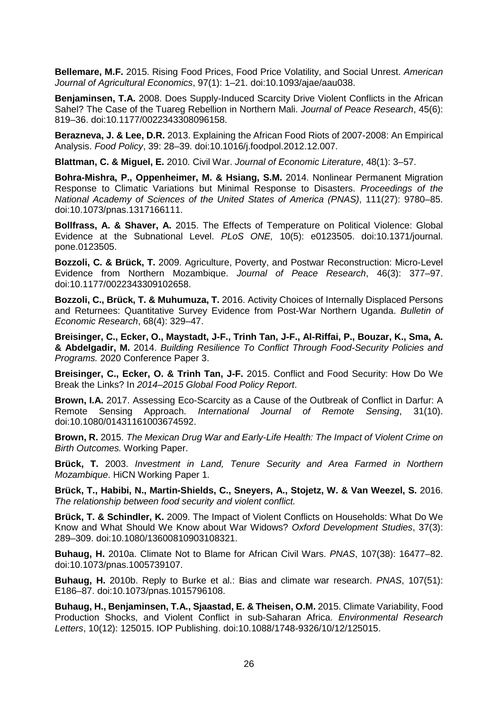**Bellemare, M.F.** 2015. Rising Food Prices, Food Price Volatility, and Social Unrest. *American Journal of Agricultural Economics*, 97(1): 1–21. doi:10.1093/ajae/aau038.

**Benjaminsen, T.A.** 2008. Does Supply-Induced Scarcity Drive Violent Conflicts in the African Sahel? The Case of the Tuareg Rebellion in Northern Mali. *Journal of Peace Research*, 45(6): 819–36. doi:10.1177/0022343308096158.

**Berazneva, J. & Lee, D.R.** 2013. Explaining the African Food Riots of 2007-2008: An Empirical Analysis. *Food Policy*, 39: 28–39. doi:10.1016/j.foodpol.2012.12.007.

**Blattman, C. & Miguel, E.** 2010. Civil War. *Journal of Economic Literature*, 48(1): 3–57.

**Bohra-Mishra, P., Oppenheimer, M. & Hsiang, S.M.** 2014. Nonlinear Permanent Migration Response to Climatic Variations but Minimal Response to Disasters. *Proceedings of the National Academy of Sciences of the United States of America (PNAS)*, 111(27): 9780–85. doi:10.1073/pnas.1317166111.

**Bollfrass, A. & Shaver, A.** 2015. The Effects of Temperature on Political Violence: Global Evidence at the Subnational Level. *PLoS ONE,* 10(5): e0123505. doi:10.1371/journal. pone.0123505.

**Bozzoli, C. & Brück, T.** 2009. Agriculture, Poverty, and Postwar Reconstruction: Micro-Level Evidence from Northern Mozambique. *Journal of Peace Research*, 46(3): 377–97. doi:10.1177/0022343309102658.

**Bozzoli, C., Brück, T. & Muhumuza, T.** 2016. Activity Choices of Internally Displaced Persons and Returnees: Quantitative Survey Evidence from Post-War Northern Uganda. *Bulletin of Economic Research*, 68(4): 329–47.

**Breisinger, C., Ecker, O., Maystadt, J-F., Trinh Tan, J-F., Al-Riffai, P., Bouzar, K., Sma, A. & Abdelgadir, M.** 2014. *Building Resilience To Conflict Through Food-Security Policies and Programs.* 2020 Conference Paper 3.

**Breisinger, C., Ecker, O. & Trinh Tan, J-F.** 2015. Conflict and Food Security: How Do We Break the Links? In *2014–2015 Global Food Policy Report*.

**Brown, I.A.** 2017. Assessing Eco-Scarcity as a Cause of the Outbreak of Conflict in Darfur: A Remote Sensing Approach. *International Journal of Remote Sensing*, 31(10). doi:10.1080/01431161003674592.

**Brown, R.** 2015. *The Mexican Drug War and Early-Life Health: The Impact of Violent Crime on Birth Outcomes.* Working Paper.

**Brück, T.** 2003. *Investment in Land, Tenure Security and Area Farmed in Northern Mozambique*. HiCN Working Paper 1.

**Brück, T., Habibi, N., Martin-Shields, C., Sneyers, A., Stojetz, W. & Van Weezel, S.** 2016. *The relationship between food security and violent conflict.*

**Brück, T. & Schindler, K.** 2009. The Impact of Violent Conflicts on Households: What Do We Know and What Should We Know about War Widows? *Oxford Development Studies*, 37(3): 289–309. doi:10.1080/13600810903108321.

**Buhaug, H.** 2010a. Climate Not to Blame for African Civil Wars. *PNAS*, 107(38): 16477–82. doi:10.1073/pnas.1005739107.

**Buhaug, H.** 2010b. Reply to Burke et al.: Bias and climate war research. *PNAS*, 107(51): E186–87. doi:10.1073/pnas.1015796108.

**Buhaug, H., Benjaminsen, T.A., Sjaastad, E. & Theisen, O.M.** 2015. Climate Variability, Food Production Shocks, and Violent Conflict in sub-Saharan Africa. *Environmental Research Letters*, 10(12): 125015. IOP Publishing. doi:10.1088/1748-9326/10/12/125015.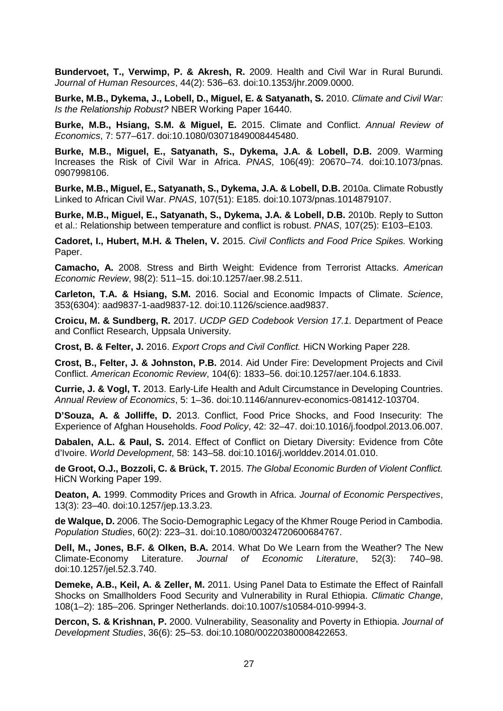**Bundervoet, T., Verwimp, P. & Akresh, R.** 2009. Health and Civil War in Rural Burundi. *Journal of Human Resources*, 44(2): 536–63. doi:10.1353/jhr.2009.0000.

**Burke, M.B., Dykema, J., Lobell, D., Miguel, E. & Satyanath, S.** 2010. *Climate and Civil War: Is the Relationship Robust?* NBER Working Paper 16440.

**Burke, M.B., Hsiang, S.M. & Miguel, E.** 2015. Climate and Conflict. *Annual Review of Economics*, 7: 577–617. doi:10.1080/03071849008445480.

**Burke, M.B., Miguel, E., Satyanath, S., Dykema, J.A. & Lobell, D.B.** 2009. Warming Increases the Risk of Civil War in Africa. *PNAS*, 106(49): 20670–74. doi:10.1073/pnas. 0907998106.

**Burke, M.B., Miguel, E., Satyanath, S., Dykema, J.A. & Lobell, D.B.** 2010a. Climate Robustly Linked to African Civil War. *PNAS*, 107(51): E185. doi:10.1073/pnas.1014879107.

**Burke, M.B., Miguel, E., Satyanath, S., Dykema, J.A. & Lobell, D.B.** 2010b. Reply to Sutton et al.: Relationship between temperature and conflict is robust. *PNAS*, 107(25): E103–E103.

**Cadoret, I., Hubert, M.H. & Thelen, V.** 2015. *Civil Conflicts and Food Price Spikes.* Working Paper.

**Camacho, A.** 2008. Stress and Birth Weight: Evidence from Terrorist Attacks. *American Economic Review*, 98(2): 511–15. doi:10.1257/aer.98.2.511.

**Carleton, T.A. & Hsiang, S.M.** 2016. Social and Economic Impacts of Climate. *Science*, 353(6304): aad9837-1-aad9837-12. doi:10.1126/science.aad9837.

**Croicu, M. & Sundberg, R.** 2017. *UCDP GED Codebook Version 17.1.* Department of Peace and Conflict Research, Uppsala University.

**Crost, B. & Felter, J.** 2016. *Export Crops and Civil Conflict.* HiCN Working Paper 228.

**Crost, B., Felter, J. & Johnston, P.B.** 2014. Aid Under Fire: Development Projects and Civil Conflict. *American Economic Review*, 104(6): 1833–56. doi:10.1257/aer.104.6.1833.

**Currie, J. & Vogl, T.** 2013. Early-Life Health and Adult Circumstance in Developing Countries. *Annual Review of Economics*, 5: 1–36. doi:10.1146/annurev-economics-081412-103704.

**D'Souza, A. & Jolliffe, D.** 2013. Conflict, Food Price Shocks, and Food Insecurity: The Experience of Afghan Households. *Food Policy*, 42: 32–47. doi:10.1016/j.foodpol.2013.06.007.

**Dabalen, A.L. & Paul, S.** 2014. Effect of Conflict on Dietary Diversity: Evidence from Côte d'Ivoire. *World Development*, 58: 143–58. doi:10.1016/j.worlddev.2014.01.010.

**de Groot, O.J., Bozzoli, C. & Brück, T.** 2015. *The Global Economic Burden of Violent Conflict.*  HiCN Working Paper 199.

**Deaton, A.** 1999. Commodity Prices and Growth in Africa. *Journal of Economic Perspectives*, 13(3): 23–40. doi:10.1257/jep.13.3.23.

**de Walque, D.** 2006. The Socio-Demographic Legacy of the Khmer Rouge Period in Cambodia. *Population Studies*, 60(2): 223–31. doi:10.1080/00324720600684767.

**Dell, M., Jones, B.F. & Olken, B.A.** 2014. What Do We Learn from the Weather? The New Climate-Economy Literature. *Journal of Economic Literature*, 52(3): 740–98. doi:10.1257/jel.52.3.740.

**Demeke, A.B., Keil, A. & Zeller, M.** 2011. Using Panel Data to Estimate the Effect of Rainfall Shocks on Smallholders Food Security and Vulnerability in Rural Ethiopia. *Climatic Change*, 108(1–2): 185–206. Springer Netherlands. doi:10.1007/s10584-010-9994-3.

**Dercon, S. & Krishnan, P.** 2000. Vulnerability, Seasonality and Poverty in Ethiopia. *Journal of Development Studies*, 36(6): 25–53. doi:10.1080/00220380008422653.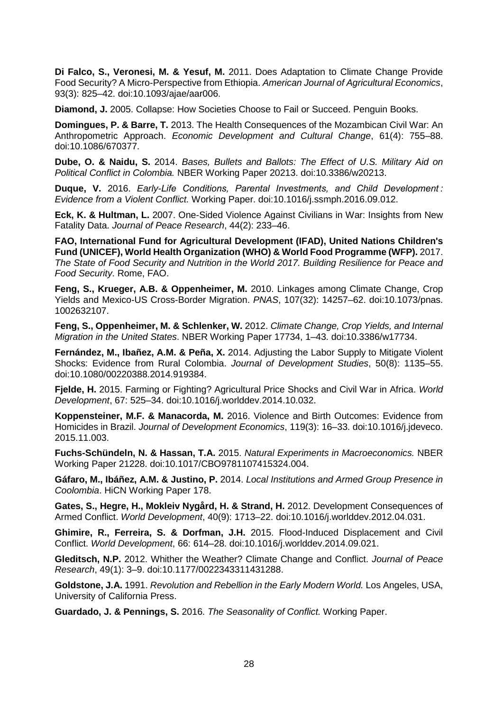**Di Falco, S., Veronesi, M. & Yesuf, M.** 2011. Does Adaptation to Climate Change Provide Food Security? A Micro-Perspective from Ethiopia. *American Journal of Agricultural Economics*, 93(3): 825–42. doi:10.1093/ajae/aar006.

**Diamond, J.** 2005. Collapse: How Societies Choose to Fail or Succeed. Penguin Books.

**Domingues, P. & Barre, T.** 2013. The Health Consequences of the Mozambican Civil War: An Anthropometric Approach. *Economic Development and Cultural Change*, 61(4): 755–88. doi:10.1086/670377.

**Dube, O. & Naidu, S.** 2014. *Bases, Bullets and Ballots: The Effect of U.S. Military Aid on Political Conflict in Colombia.* NBER Working Paper 20213. doi:10.3386/w20213.

**Duque, V.** 2016. *Early-Life Conditions, Parental Investments, and Child Development : Evidence from a Violent Conflict.* Working Paper. doi:10.1016/j.ssmph.2016.09.012.

**Eck, K. & Hultman, L.** 2007. One-Sided Violence Against Civilians in War: Insights from New Fatality Data. *Journal of Peace Research*, 44(2): 233–46.

**FAO, International Fund for Agricultural Development (IFAD), United Nations Children's Fund (UNICEF), World Health Organization (WHO) & World Food Programme (WFP).** 2017. *The State of Food Security and Nutrition in the World 2017. Building Resilience for Peace and Food Security*. Rome, FAO.

**Feng, S., Krueger, A.B. & Oppenheimer, M.** 2010. Linkages among Climate Change, Crop Yields and Mexico-US Cross-Border Migration. *PNAS*, 107(32): 14257–62. doi:10.1073/pnas. 1002632107.

**Feng, S., Oppenheimer, M. & Schlenker, W.** 2012. *Climate Change, Crop Yields, and Internal Migration in the United States*. NBER Working Paper 17734, 1–43. doi:10.3386/w17734.

**Fernández, M., Ibañez, A.M. & Peña, X.** 2014. Adjusting the Labor Supply to Mitigate Violent Shocks: Evidence from Rural Colombia. *Journal of Development Studies*, 50(8): 1135–55. doi:10.1080/00220388.2014.919384.

**Fjelde, H.** 2015. Farming or Fighting? Agricultural Price Shocks and Civil War in Africa. *World Development*, 67: 525–34. doi:10.1016/j.worlddev.2014.10.032.

**Koppensteiner, M.F. & Manacorda, M.** 2016. Violence and Birth Outcomes: Evidence from Homicides in Brazil. *Journal of Development Economics*, 119(3): 16–33. doi:10.1016/j.jdeveco. 2015.11.003.

**Fuchs-Schündeln, N. & Hassan, T.A.** 2015. *Natural Experiments in Macroeconomics.* NBER Working Paper 21228. doi:10.1017/CBO9781107415324.004.

**Gáfaro, M., Ibáñez, A.M. & Justino, P.** 2014. *Local Institutions and Armed Group Presence in Coolombia*. HiCN Working Paper 178.

**Gates, S., Hegre, H., Mokleiv Nygård, H. & Strand, H.** 2012. Development Consequences of Armed Conflict. *World Development*, 40(9): 1713–22. doi:10.1016/j.worlddev.2012.04.031.

**Ghimire, R., Ferreira, S. & Dorfman, J.H.** 2015. Flood-Induced Displacement and Civil Conflict. *World Development*, 66: 614–28. doi:10.1016/j.worlddev.2014.09.021.

**Gleditsch, N.P.** 2012. Whither the Weather? Climate Change and Conflict. *Journal of Peace Research*, 49(1): 3–9. doi:10.1177/0022343311431288.

**Goldstone, J.A.** 1991. *Revolution and Rebellion in the Early Modern World.* Los Angeles, USA, University of California Press.

**Guardado, J. & Pennings, S.** 2016. *The Seasonality of Conflict.* Working Paper.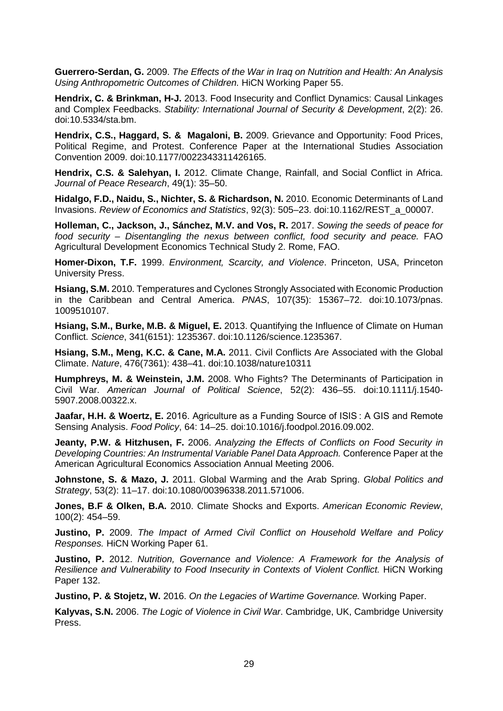**Guerrero-Serdan, G.** 2009. *The Effects of the War in Iraq on Nutrition and Health: An Analysis Using Anthropometric Outcomes of Children.* HiCN Working Paper 55.

**Hendrix, C. & Brinkman, H-J.** 2013. Food Insecurity and Conflict Dynamics: Causal Linkages and Complex Feedbacks. *Stability: International Journal of Security & Development*, 2(2): 26. doi:10.5334/sta.bm.

**Hendrix, C.S., Haggard, S. & Magaloni, B.** 2009. Grievance and Opportunity: Food Prices, Political Regime, and Protest. Conference Paper at the International Studies Association Convention 2009. doi:10.1177/0022343311426165.

**Hendrix, C.S. & Salehyan, I.** 2012. Climate Change, Rainfall, and Social Conflict in Africa. *Journal of Peace Research*, 49(1): 35–50.

**Hidalgo, F.D., Naidu, S., Nichter, S. & Richardson, N.** 2010. Economic Determinants of Land Invasions. *Review of Economics and Statistics*, 92(3): 505–23. doi:10.1162/REST\_a\_00007.

**Holleman, C., Jackson, J., Sánchez, M.V. and Vos, R.** 2017. *Sowing the seeds of peace for food security – Disentangling the nexus between conflict, food security and peace.* FAO Agricultural Development Economics Technical Study 2. Rome, FAO.

**Homer-Dixon, T.F.** 1999. *Environment, Scarcity, and Violence*. Princeton, USA, Princeton University Press.

**Hsiang, S.M.** 2010. Temperatures and Cyclones Strongly Associated with Economic Production in the Caribbean and Central America. *PNAS*, 107(35): 15367–72. doi:10.1073/pnas. 1009510107.

**Hsiang, S.M., Burke, M.B. & Miguel, E.** 2013. Quantifying the Influence of Climate on Human Conflict. *Science*, 341(6151): 1235367. doi:10.1126/science.1235367.

**Hsiang, S.M., Meng, K.C. & Cane, M.A.** 2011. Civil Conflicts Are Associated with the Global Climate. *Nature*, 476(7361): 438–41. doi:10.1038/nature10311

**Humphreys, M. & Weinstein, J.M.** 2008. Who Fights? The Determinants of Participation in Civil War. *American Journal of Political Science*, 52(2): 436–55. doi:10.1111/j.1540- 5907.2008.00322.x.

**Jaafar, H.H. & Woertz, E.** 2016. Agriculture as a Funding Source of ISIS : A GIS and Remote Sensing Analysis. *Food Policy*, 64: 14–25. doi:10.1016/j.foodpol.2016.09.002.

**Jeanty, P.W. & Hitzhusen, F.** 2006. *Analyzing the Effects of Conflicts on Food Security in Developing Countries: An Instrumental Variable Panel Data Approach.* Conference Paper at the American Agricultural Economics Association Annual Meeting 2006.

**Johnstone, S. & Mazo, J.** 2011. Global Warming and the Arab Spring. *Global Politics and Strategy*, 53(2): 11–17. doi:10.1080/00396338.2011.571006.

**Jones, B.F & Olken, B.A.** 2010. Climate Shocks and Exports. *American Economic Review*, 100(2): 454–59.

**Justino, P.** 2009. *The Impact of Armed Civil Conflict on Household Welfare and Policy Responses.* HiCN Working Paper 61.

**Justino, P.** 2012. *Nutrition, Governance and Violence: A Framework for the Analysis of Resilience and Vulnerability to Food Insecurity in Contexts of Violent Conflict.* HiCN Working Paper 132.

**Justino, P. & Stojetz, W.** 2016. *On the Legacies of Wartime Governance.* Working Paper.

**Kalyvas, S.N.** 2006. *The Logic of Violence in Civil War*. Cambridge, UK, Cambridge University Press.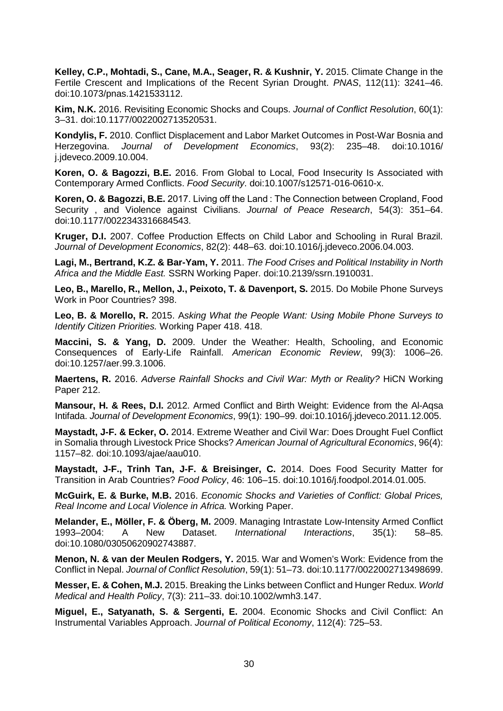**Kelley, C.P., Mohtadi, S., Cane, M.A., Seager, R. & Kushnir, Y.** 2015. Climate Change in the Fertile Crescent and Implications of the Recent Syrian Drought. *PNAS*, 112(11): 3241–46. doi:10.1073/pnas.1421533112.

**Kim, N.K.** 2016. Revisiting Economic Shocks and Coups. *Journal of Conflict Resolution*, 60(1): 3–31. doi:10.1177/0022002713520531.

**Kondylis, F.** 2010. Conflict Displacement and Labor Market Outcomes in Post-War Bosnia and Herzegovina. *Journal of Development Economics*, 93(2): 235–48. doi:10.1016/ j.jdeveco.2009.10.004.

**Koren, O. & Bagozzi, B.E.** 2016. From Global to Local, Food Insecurity Is Associated with Contemporary Armed Conflicts. *Food Security*. doi:10.1007/s12571-016-0610-x.

**Koren, O. & Bagozzi, B.E.** 2017. Living off the Land : The Connection between Cropland, Food Security , and Violence against Civilians. *Journal of Peace Research*, 54(3): 351–64. doi:10.1177/0022343316684543.

**Kruger, D.I.** 2007. Coffee Production Effects on Child Labor and Schooling in Rural Brazil. *Journal of Development Economics*, 82(2): 448–63. doi:10.1016/j.jdeveco.2006.04.003.

**Lagi, M., Bertrand, K.Z. & Bar-Yam, Y.** 2011. *The Food Crises and Political Instability in North Africa and the Middle East.* SSRN Working Paper. doi:10.2139/ssrn.1910031.

**Leo, B., Marello, R., Mellon, J., Peixoto, T. & Davenport, S.** 2015. Do Mobile Phone Surveys Work in Poor Countries? 398.

**Leo, B. & Morello, R.** 2015. A*sking What the People Want: Using Mobile Phone Surveys to Identify Citizen Priorities.* Working Paper 418. 418.

**Maccini, S. & Yang, D.** 2009. Under the Weather: Health, Schooling, and Economic Consequences of Early-Life Rainfall. *American Economic Review*, 99(3): 1006–26. doi:10.1257/aer.99.3.1006.

**Maertens, R.** 2016. *Adverse Rainfall Shocks and Civil War: Myth or Reality?* HiCN Working Paper 212.

**Mansour, H. & Rees, D.I.** 2012. Armed Conflict and Birth Weight: Evidence from the Al-Aqsa Intifada. *Journal of Development Economics*, 99(1): 190–99. doi:10.1016/j.jdeveco.2011.12.005.

**Maystadt, J-F. & Ecker, O.** 2014. Extreme Weather and Civil War: Does Drought Fuel Conflict in Somalia through Livestock Price Shocks? *American Journal of Agricultural Economics*, 96(4): 1157–82. doi:10.1093/ajae/aau010.

**Maystadt, J-F., Trinh Tan, J-F. & Breisinger, C.** 2014. Does Food Security Matter for Transition in Arab Countries? *Food Policy*, 46: 106–15. doi:10.1016/j.foodpol.2014.01.005.

**McGuirk, E. & Burke, M.B.** 2016. *Economic Shocks and Varieties of Conflict: Global Prices, Real Income and Local Violence in Africa.* Working Paper.

**Melander, E., Möller, F. & Öberg, M.** 2009. Managing Intrastate Low-Intensity Armed Conflict International Interactions, 35(1): doi:10.1080/03050620902743887.

**Menon, N. & van der Meulen Rodgers, Y.** 2015. War and Women's Work: Evidence from the Conflict in Nepal. *Journal of Conflict Resolution*, 59(1): 51–73. doi:10.1177/0022002713498699.

**Messer, E. & Cohen, M.J.** 2015. Breaking the Links between Conflict and Hunger Redux. *World Medical and Health Policy*, 7(3): 211–33. doi:10.1002/wmh3.147.

**Miguel, E., Satyanath, S. & Sergenti, E.** 2004. Economic Shocks and Civil Conflict: An Instrumental Variables Approach. *Journal of Political Economy*, 112(4): 725–53.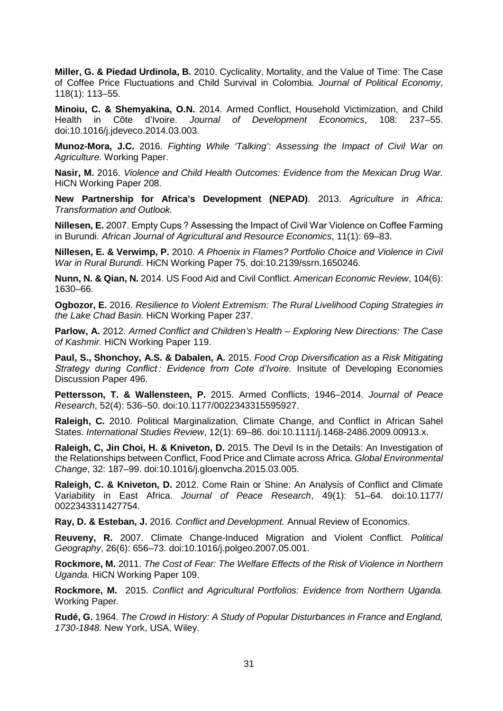**Miller, G. & Piedad Urdinola, B.** 2010. Cyclicality, Mortality, and the Value of Time: The Case of Coffee Price Fluctuations and Child Survival in Colombia. *Journal of Political Economy*, 118(1): 113–55.

**Minoiu, C. & Shemyakina, O.N.** 2014. Armed Conflict, Household Victimization, and Child Health in Côte d'Ivoire. Journal of Development Economics, 108: 237–55. Journal of Development Economics, doi:10.1016/j.jdeveco.2014.03.003.

**Munoz-Mora, J.C.** 2016. *Fighting While 'Talking': Assessing the Impact of Civil War on Agriculture.* Working Paper.

**Nasir, M.** 2016. *Violence and Child Health Outcomes: Evidence from the Mexican Drug War.*  HiCN Working Paper 208.

**New Partnership for Africa's Development (NEPAD)**. 2013. *Agriculture in Africa: Transformation and Outlook.* 

**Nillesen, E.** 2007. Empty Cups ? Assessing the Impact of Civil War Violence on Coffee Farming in Burundi. *African Journal of Agricultural and Resource Economics*, 11(1): 69–83.

**Nillesen, E. & Verwimp, P.** 2010. *A Phoenix in Flames? Portfolio Choice and Violence in Civil War in Rural Burundi*. HiCN Working Paper 75. doi:10.2139/ssrn.1650246.

**Nunn, N. & Qian, N.** 2014. US Food Aid and Civil Conflict. *American Economic Review*, 104(6): 1630–66.

**Ogbozor, E.** 2016. *Resilience to Violent Extremism: The Rural Livelihood Coping Strategies in the Lake Chad Basin.* HiCN Working Paper 237.

**Parlow, A.** 2012. *Armed Conflict and Children's Health – Exploring New Directions: The Case of Kashmir.* HiCN Working Paper 119.

**Paul, S., Shonchoy, A.S. & Dabalen, A.** 2015. *Food Crop Diversification as a Risk Mitigating*  Strategy during Conflict: Evidence from Cote d'Ivoire. Insitute of Developing Economies Discussion Paper 496.

**Pettersson, T. & Wallensteen, P.** 2015. Armed Conflicts, 1946–2014. *Journal of Peace Research*, 52(4): 536–50. doi:10.1177/0022343315595927.

**Raleigh, C.** 2010. Political Marginalization, Climate Change, and Conflict in African Sahel States. *International Studies Review*, 12(1): 69–86. doi:10.1111/j.1468-2486.2009.00913.x.

**Raleigh, C, Jin Choi, H. & Kniveton, D.** 2015. The Devil Is in the Details: An Investigation of the Relationships between Conflict, Food Price and Climate across Africa. *Global Environmental Change*, 32: 187–99. doi:10.1016/j.gloenvcha.2015.03.005.

**Raleigh, C. & Kniveton, D.** 2012. Come Rain or Shine: An Analysis of Conflict and Climate Variability in East Africa. *Journal of Peace Research*, 49(1): 51–64. doi:10.1177/ 0022343311427754.

**Ray, D. & Esteban, J.** 2016. *Conflict and Development.* Annual Review of Economics.

**Reuveny, R.** 2007. Climate Change-Induced Migration and Violent Conflict. *Political Geography*, 26(6): 656–73. doi:10.1016/j.polgeo.2007.05.001.

**Rockmore, M.** 2011. *The Cost of Fear: The Welfare Effects of the Risk of Violence in Northern Uganda.* HiCN Working Paper 109.

**Rockmore, M.** 2015. *Conflict and Agricultural Portfolios: Evidence from Northern Uganda.*  Working Paper.

**Rudé, G.** 1964. *The Crowd in History: A Study of Popular Disturbances in France and England, 1730-1848.* New York, USA, Wiley.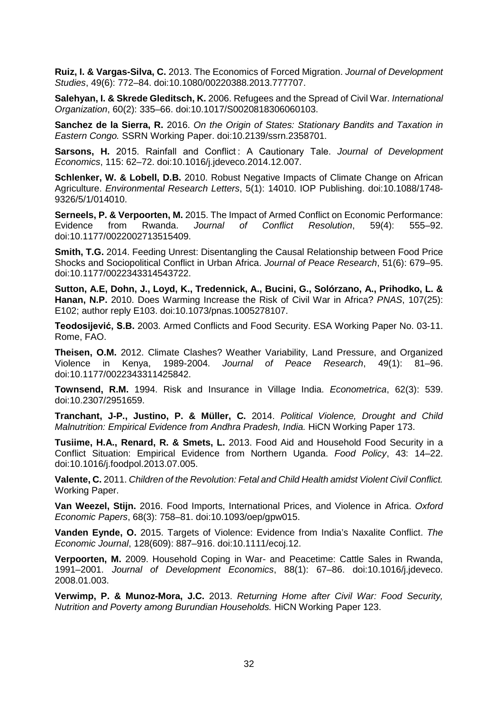**Ruiz, I. & Vargas-Silva, C.** 2013. The Economics of Forced Migration. *Journal of Development Studies*, 49(6): 772–84. doi:10.1080/00220388.2013.777707.

**Salehyan, I. & Skrede Gleditsch, K.** 2006. Refugees and the Spread of Civil War. *International Organization*, 60(2): 335–66. doi:10.1017/S0020818306060103.

**Sanchez de la Sierra, R.** 2016. *On the Origin of States: Stationary Bandits and Taxation in Eastern Congo.* SSRN Working Paper. doi:10.2139/ssrn.2358701.

**Sarsons, H.** 2015. Rainfall and Conflict : A Cautionary Tale. *Journal of Development Economics*, 115: 62–72. doi:10.1016/j.jdeveco.2014.12.007.

**Schlenker, W. & Lobell, D.B.** 2010. Robust Negative Impacts of Climate Change on African Agriculture. *Environmental Research Letters*, 5(1): 14010. IOP Publishing. doi:10.1088/1748- 9326/5/1/014010.

**Serneels, P. & Verpoorten, M.** 2015. The Impact of Armed Conflict on Economic Performance:<br>Evidence from Rwanda. Journal of Conflict Resolution, 59(4): 555–92. Resolution, 59(4): doi:10.1177/0022002713515409.

**Smith, T.G.** 2014. Feeding Unrest: Disentangling the Causal Relationship between Food Price Shocks and Sociopolitical Conflict in Urban Africa. *Journal of Peace Research*, 51(6): 679–95. doi:10.1177/0022343314543722.

**Sutton, A.E, Dohn, J., Loyd, K., Tredennick, A., Bucini, G., Solórzano, A., Prihodko, L. & Hanan, N.P.** 2010. Does Warming Increase the Risk of Civil War in Africa? *PNAS*, 107(25): E102; author reply E103. doi:10.1073/pnas.1005278107.

**Teodosijević, S.B.** 2003. Armed Conflicts and Food Security. ESA Working Paper No. 03-11. Rome, FAO.

**Theisen, O.M.** 2012. Climate Clashes? Weather Variability, Land Pressure, and Organized Violence in Kenya, 1989-2004. *Journal of Peace Research*, 49(1): 81–96. doi:10.1177/0022343311425842.

**Townsend, R.M.** 1994. Risk and Insurance in Village India. *Econometrica*, 62(3): 539. doi:10.2307/2951659.

**Tranchant, J-P., Justino, P. & Müller, C.** 2014. *Political Violence, Drought and Child Malnutrition: Empirical Evidence from Andhra Pradesh, India.* HiCN Working Paper 173.

**Tusiime, H.A., Renard, R. & Smets, L.** 2013. Food Aid and Household Food Security in a Conflict Situation: Empirical Evidence from Northern Uganda. *Food Policy*, 43: 14–22. doi:10.1016/j.foodpol.2013.07.005.

**Valente, C.** 2011. *Children of the Revolution: Fetal and Child Health amidst Violent Civil Conflict.*  Working Paper.

**Van Weezel, Stijn.** 2016. Food Imports, International Prices, and Violence in Africa. *Oxford Economic Papers*, 68(3): 758–81. doi:10.1093/oep/gpw015.

**Vanden Eynde, O.** 2015. Targets of Violence: Evidence from India's Naxalite Conflict. *The Economic Journal*, 128(609): 887–916. doi:10.1111/ecoj.12.

**Verpoorten, M.** 2009. Household Coping in War- and Peacetime: Cattle Sales in Rwanda, 1991–2001. *Journal of Development Economics*, 88(1): 67–86. doi:10.1016/j.jdeveco. 2008.01.003.

**Verwimp, P. & Munoz-Mora, J.C.** 2013. *Returning Home after Civil War: Food Security, Nutrition and Poverty among Burundian Households.* HiCN Working Paper 123.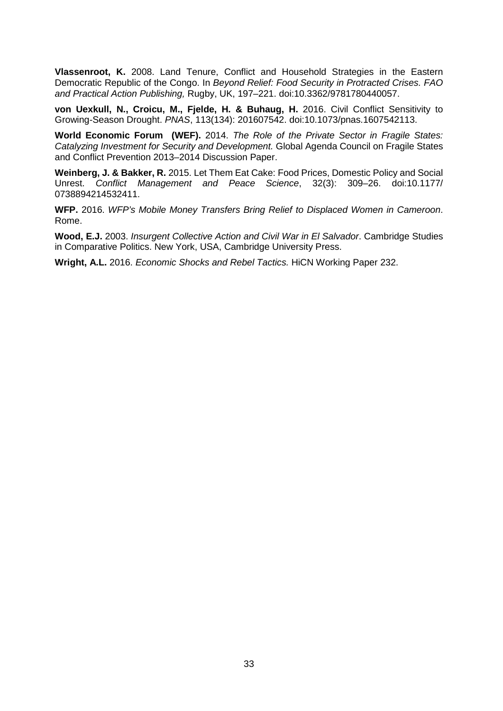**Vlassenroot, K.** 2008. Land Tenure, Conflict and Household Strategies in the Eastern Democratic Republic of the Congo. In *Beyond Relief: Food Security in Protracted Crises. FAO and Practical Action Publishing,* Rugby, UK, 197–221. doi:10.3362/9781780440057.

**von Uexkull, N., Croicu, M., Fjelde, H. & Buhaug, H.** 2016. Civil Conflict Sensitivity to Growing-Season Drought. *PNAS*, 113(134): 201607542. doi:10.1073/pnas.1607542113.

**World Economic Forum (WEF).** 2014. *The Role of the Private Sector in Fragile States: Catalyzing Investment for Security and Development.* Global Agenda Council on Fragile States and Conflict Prevention 2013–2014 Discussion Paper.

**Weinberg, J. & Bakker, R.** 2015. Let Them Eat Cake: Food Prices, Domestic Policy and Social Unrest. *Conflict Management and Peace Science*, 32(3): 309–26. doi:10.1177/ 0738894214532411.

**WFP.** 2016. *WFP's Mobile Money Transfers Bring Relief to Displaced Women in Cameroon*. Rome.

**Wood, E.J.** 2003. *Insurgent Collective Action and Civil War in El Salvador*. Cambridge Studies in Comparative Politics. New York, USA, Cambridge University Press.

**Wright, A.L.** 2016. *Economic Shocks and Rebel Tactics.* HiCN Working Paper 232.